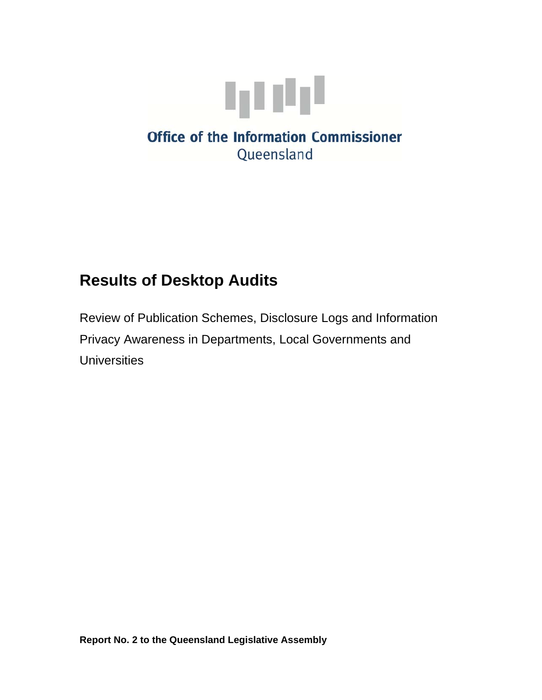

# **Results of Desktop Audits**

Review of Publication Schemes, Disclosure Logs and Information Privacy Awareness in Departments, Local Governments and **Universities**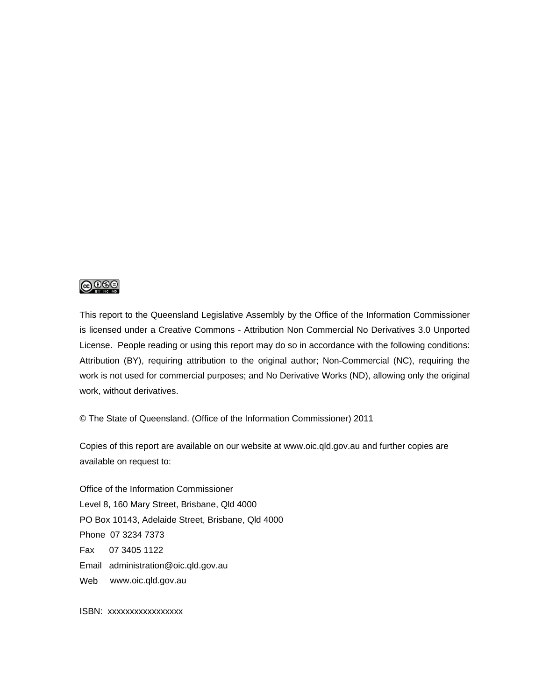#### <u>@0®©</u>

This report to the Queensland Legislative Assembly by the Office of the Information Commissioner is licensed under a Creative Commons - Attribution Non Commercial No Derivatives 3.0 Unported License. People reading or using this report may do so in accordance with the following conditions: Attribution (BY), requiring attribution to the original author; Non-Commercial (NC), requiring the work is not used for commercial purposes; and No Derivative Works (ND), allowing only the original work, without derivatives.

© The State of Queensland. (Office of the Information Commissioner) 2011

Copies of this report are available on our website at www.oic.qld.gov.au and further copies are available on request to:

Office of the Information Commissioner Level 8, 160 Mary Street, Brisbane, Qld 4000 PO Box 10143, Adelaide Street, Brisbane, Qld 4000 Phone 07 3234 7373 Fax 07 3405 1122 Email administration@oic.qld.gov.au Web [www.oic.qld.gov.au](http://www.oic.qld.gov.au/)

ISBN: xxxxxxxxxxxxxxxxx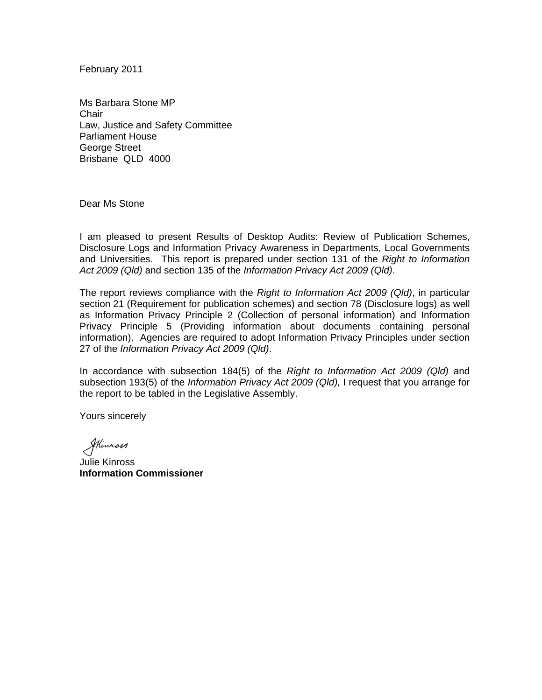February 2011

Ms Barbara Stone MP **Chair** Law, Justice and Safety Committee Parliament House George Street Brisbane QLD 4000

Dear Ms Stone

I am pleased to present Results of Desktop Audits: Review of Publication Schemes, Disclosure Logs and Information Privacy Awareness in Departments, Local Governments and Universities. This report is prepared under section 131 of the *Right to Information Act 2009 (Qld)* and section 135 of the *Information Privacy Act 2009 (Qld)*.

The report reviews compliance with the *Right to Information Act 2009 (Qld)*, in particular section 21 (Requirement for publication schemes) and section 78 (Disclosure logs) as well as Information Privacy Principle 2 (Collection of personal information) and Information Privacy Principle 5 (Providing information about documents containing personal information). Agencies are required to adopt Information Privacy Principles under section 27 of the *Information Privacy Act 2009 (Qld)*.

In accordance with subsection 184(5) of the *Right to Information Act 2009 (Qld)* and subsection 193(5) of the *Information Privacy Act 2009 (Qld),* I request that you arrange for the report to be tabled in the Legislative Assembly.

Yours sincerely

Skinnass

Julie Kinross **Information Commissioner**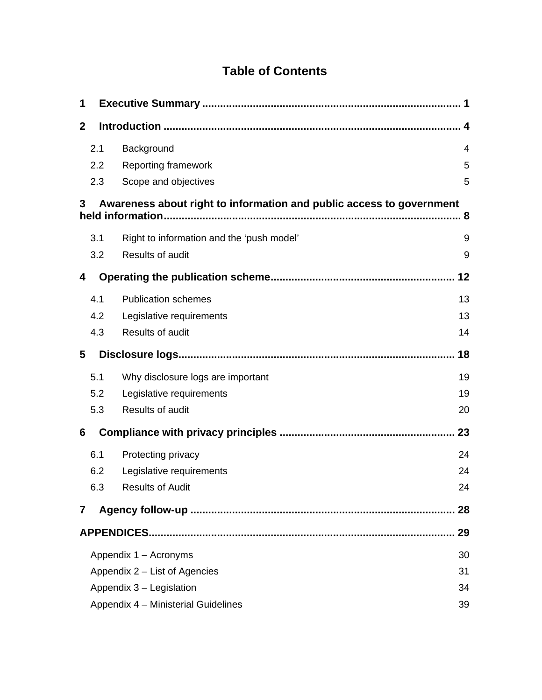# **Table of Contents**

| 1            |                                           |                                                                                           |     |
|--------------|-------------------------------------------|-------------------------------------------------------------------------------------------|-----|
| $\mathbf{2}$ |                                           |                                                                                           | . 4 |
|              | 2.1                                       | Background                                                                                | 4   |
|              | 2.2                                       | <b>Reporting framework</b>                                                                | 5   |
|              | 2.3                                       | Scope and objectives                                                                      | 5   |
| 3            |                                           | Awareness about right to information and public access to government<br>held information. | . 8 |
|              | 3.1                                       | Right to information and the 'push model'                                                 | 9   |
|              | 3.2                                       | Results of audit                                                                          | 9   |
| 4            |                                           |                                                                                           | 12  |
|              | 4.1                                       | <b>Publication schemes</b>                                                                | 13  |
|              | 4.2                                       | Legislative requirements                                                                  | 13  |
|              | 4.3                                       | Results of audit                                                                          | 14  |
| 5            |                                           |                                                                                           | 18  |
|              | 5.1                                       | Why disclosure logs are important                                                         | 19  |
|              | 5.2                                       | Legislative requirements                                                                  | 19  |
|              | 5.3                                       | Results of audit                                                                          | 20  |
| 6            |                                           |                                                                                           | 23  |
|              | 6.1                                       | Protecting privacy                                                                        | 24  |
|              | 6.2                                       | Legislative requirements                                                                  | 24  |
|              | 6.3                                       | <b>Results of Audit</b>                                                                   | 24  |
| 7            |                                           |                                                                                           | 28  |
|              |                                           |                                                                                           | 29  |
|              |                                           | Appendix 1 – Acronyms                                                                     | 30  |
|              | Appendix 2 – List of Agencies<br>31       |                                                                                           |     |
|              | Appendix 3 - Legislation<br>34            |                                                                                           |     |
|              | Appendix 4 - Ministerial Guidelines<br>39 |                                                                                           |     |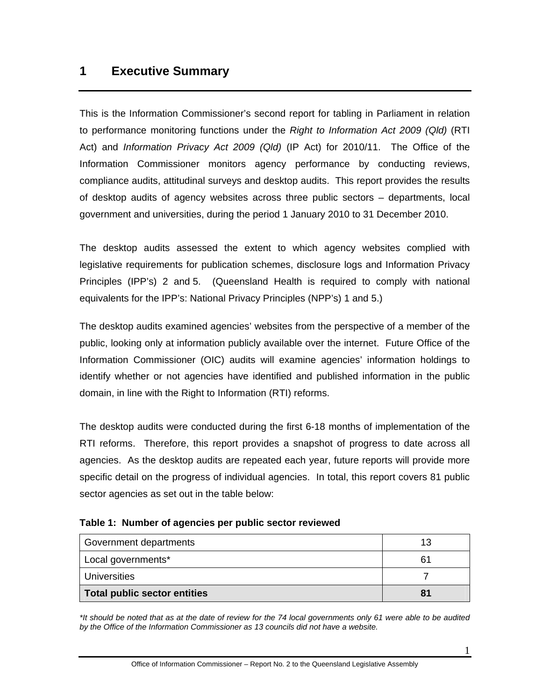# <span id="page-5-0"></span>**1 Executive Summary**

This is the Information Commissioner's second report for tabling in Parliament in relation to performance monitoring functions under the *Right to Information Act 2009 (Qld)* (RTI Act) and *Information Privacy Act 2009 (Qld)* (IP Act) for 2010/11. The Office of the Information Commissioner monitors agency performance by conducting reviews, compliance audits, attitudinal surveys and desktop audits. This report provides the results of desktop audits of agency websites across three public sectors – departments, local government and universities, during the period 1 January 2010 to 31 December 2010.

The desktop audits assessed the extent to which agency websites complied with legislative requirements for publication schemes, disclosure logs and Information Privacy Principles (IPP's) 2 and 5. (Queensland Health is required to comply with national equivalents for the IPP's: National Privacy Principles (NPP's) 1 and 5.)

The desktop audits examined agencies' websites from the perspective of a member of the public, looking only at information publicly available over the internet. Future Office of the Information Commissioner (OIC) audits will examine agencies' information holdings to identify whether or not agencies have identified and published information in the public domain, in line with the Right to Information (RTI) reforms.

The desktop audits were conducted during the first 6-18 months of implementation of the RTI reforms. Therefore, this report provides a snapshot of progress to date across all agencies. As the desktop audits are repeated each year, future reports will provide more specific detail on the progress of individual agencies. In total, this report covers 81 public sector agencies as set out in the table below:

| Government departments       | 13 |
|------------------------------|----|
| Local governments*           | 61 |
| <b>Universities</b>          |    |
| Total public sector entities | 81 |

**Table 1: Number of agencies per public sector reviewed** 

*\*It should be noted that as at the date of review for the 74 local governments only 61 were able to be audited by the Office of the Information Commissioner as 13 councils did not have a website.*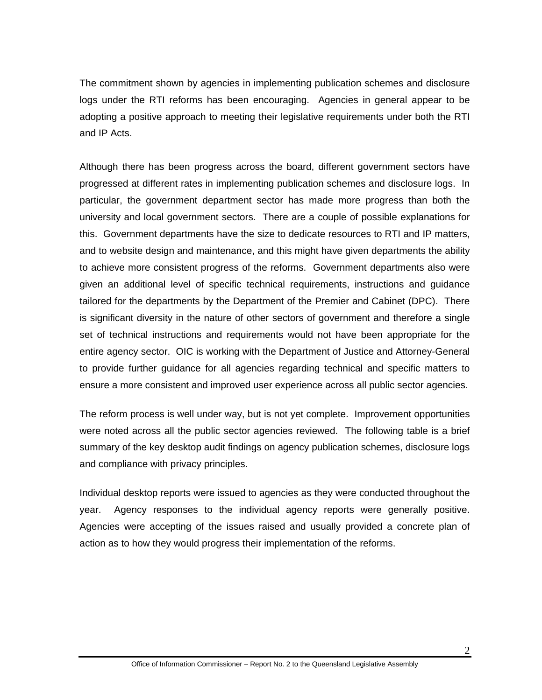The commitment shown by agencies in implementing publication schemes and disclosure logs under the RTI reforms has been encouraging. Agencies in general appear to be adopting a positive approach to meeting their legislative requirements under both the RTI and IP Acts.

Although there has been progress across the board, different government sectors have progressed at different rates in implementing publication schemes and disclosure logs. In particular, the government department sector has made more progress than both the university and local government sectors. There are a couple of possible explanations for this. Government departments have the size to dedicate resources to RTI and IP matters, and to website design and maintenance, and this might have given departments the ability to achieve more consistent progress of the reforms. Government departments also were given an additional level of specific technical requirements, instructions and guidance tailored for the departments by the Department of the Premier and Cabinet (DPC). There is significant diversity in the nature of other sectors of government and therefore a single set of technical instructions and requirements would not have been appropriate for the entire agency sector. OIC is working with the Department of Justice and Attorney-General to provide further guidance for all agencies regarding technical and specific matters to ensure a more consistent and improved user experience across all public sector agencies.

The reform process is well under way, but is not yet complete. Improvement opportunities were noted across all the public sector agencies reviewed. The following table is a brief summary of the key desktop audit findings on agency publication schemes, disclosure logs and compliance with privacy principles.

Individual desktop reports were issued to agencies as they were conducted throughout the year. Agency responses to the individual agency reports were generally positive. Agencies were accepting of the issues raised and usually provided a concrete plan of action as to how they would progress their implementation of the reforms.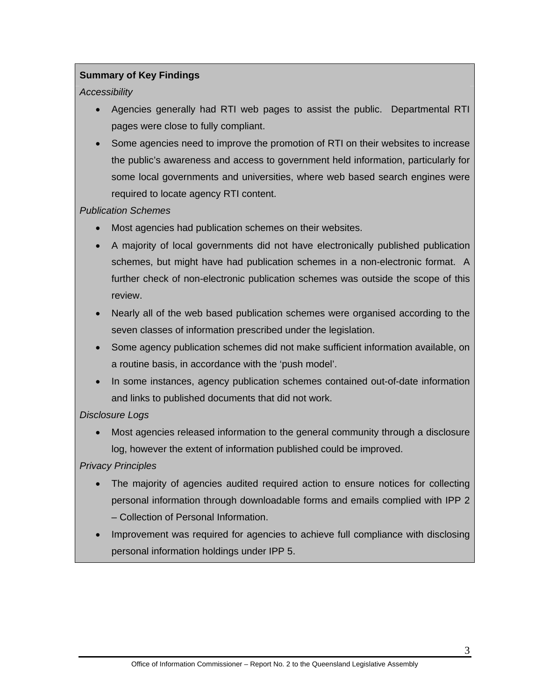# **Summary of Key Findings**

#### *Accessibility*

- Agencies generally had RTI web pages to assist the public. Departmental RTI pages were close to fully compliant.
- Some agencies need to improve the promotion of RTI on their websites to increase the public's awareness and access to government held information, particularly for some local governments and universities, where web based search engines were required to locate agency RTI content.

#### *Publication Schemes*

- Most agencies had publication schemes on their websites.
- A majority of local governments did not have electronically published publication schemes, but might have had publication schemes in a non-electronic format. A further check of non-electronic publication schemes was outside the scope of this review.
- Nearly all of the web based publication schemes were organised according to the seven classes of information prescribed under the legislation.
- Some agency publication schemes did not make sufficient information available, on a routine basis, in accordance with the 'push model'.
- In some instances, agency publication schemes contained out-of-date information and links to published documents that did not work.

# *Disclosure Logs*

 Most agencies released information to the general community through a disclosure log, however the extent of information published could be improved.

# *Privacy Principles*

- The majority of agencies audited required action to ensure notices for collecting personal information through downloadable forms and emails complied with IPP 2 – Collection of Personal Information.
- Improvement was required for agencies to achieve full compliance with disclosing personal information holdings under IPP 5.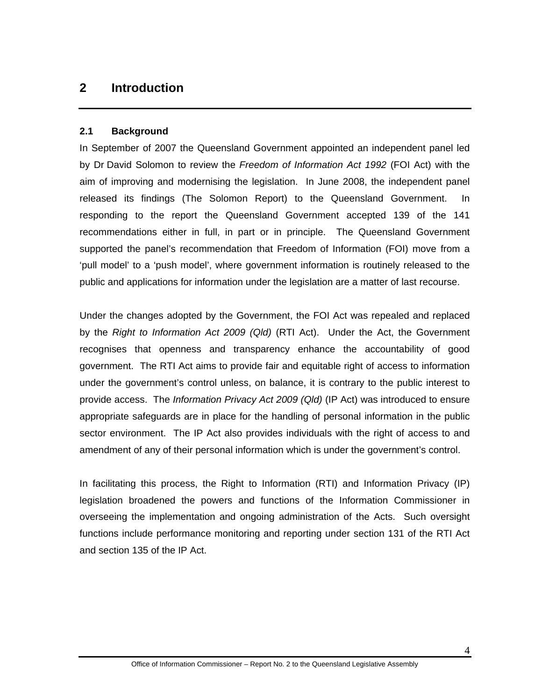# <span id="page-8-0"></span>**2 Introduction**

#### <span id="page-8-1"></span>**2.1 Background**

In September of 2007 the Queensland Government appointed an independent panel led by Dr David Solomon to review the *Freedom of Information Act 1992* (FOI Act) with the aim of improving and modernising the legislation. In June 2008, the independent panel released its findings (The Solomon Report) to the Queensland Government. In responding to the report the Queensland Government accepted 139 of the 141 recommendations either in full, in part or in principle. The Queensland Government supported the panel's recommendation that Freedom of Information (FOI) move from a 'pull model' to a 'push model', where government information is routinely released to the public and applications for information under the legislation are a matter of last recourse.

Under the changes adopted by the Government, the FOI Act was repealed and replaced by the *Right to Information Act 2009 (Qld)* (RTI Act). Under the Act, the Government recognises that openness and transparency enhance the accountability of good government. The RTI Act aims to provide fair and equitable right of access to information under the government's control unless, on balance, it is contrary to the public interest to provide access. The *Information Privacy Act 2009 (Qld)* (IP Act) was introduced to ensure appropriate safeguards are in place for the handling of personal information in the public sector environment. The IP Act also provides individuals with the right of access to and amendment of any of their personal information which is under the government's control.

In facilitating this process, the Right to Information (RTI) and Information Privacy (IP) legislation broadened the powers and functions of the Information Commissioner in overseeing the implementation and ongoing administration of the Acts. Such oversight functions include performance monitoring and reporting under section 131 of the RTI Act and section 135 of the IP Act.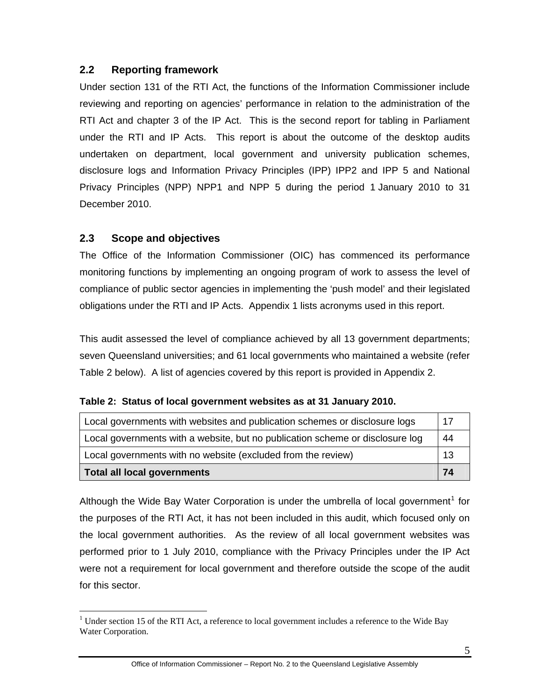# <span id="page-9-0"></span>**2.2 Reporting framework**

Under section 131 of the RTI Act, the functions of the Information Commissioner include reviewing and reporting on agencies' performance in relation to the administration of the RTI Act and chapter 3 of the IP Act. This is the second report for tabling in Parliament under the RTI and IP Acts. This report is about the outcome of the desktop audits undertaken on department, local government and university publication schemes, disclosure logs and Information Privacy Principles (IPP) IPP2 and IPP 5 and National Privacy Principles (NPP) NPP1 and NPP 5 during the period 1 January 2010 to 31 December 2010.

# <span id="page-9-1"></span>**2.3 Scope and objectives**

 $\overline{a}$ 

The Office of the Information Commissioner (OIC) has commenced its performance monitoring functions by implementing an ongoing program of work to assess the level of compliance of public sector agencies in implementing the 'push model' and their legislated obligations under the RTI and IP Acts. Appendix 1 lists acronyms used in this report.

This audit assessed the level of compliance achieved by all 13 government departments; seven Queensland universities; and 61 local governments who maintained a website (refer Table 2 below). A list of agencies covered by this report is provided in Appendix 2.

|  |  | Table 2: Status of local government websites as at 31 January 2010. |  |  |
|--|--|---------------------------------------------------------------------|--|--|
|--|--|---------------------------------------------------------------------|--|--|

| Local governments with websites and publication schemes or disclosure logs    | 17 |
|-------------------------------------------------------------------------------|----|
| Local governments with a website, but no publication scheme or disclosure log | 44 |
| Local governments with no website (excluded from the review)                  | 13 |
| <b>Total all local governments</b>                                            | 74 |

Although the Wide Bay Water Corporation is under the umbrella of local government<sup>[1](#page-9-2)</sup> for the purposes of the RTI Act, it has not been included in this audit, which focused only on the local government authorities. As the review of all local government websites was performed prior to 1 July 2010, compliance with the Privacy Principles under the IP Act were not a requirement for local government and therefore outside the scope of the audit for this sector.

<span id="page-9-2"></span> $1$  Under section 15 of the RTI Act, a reference to local government includes a reference to the Wide Bay Water Corporation.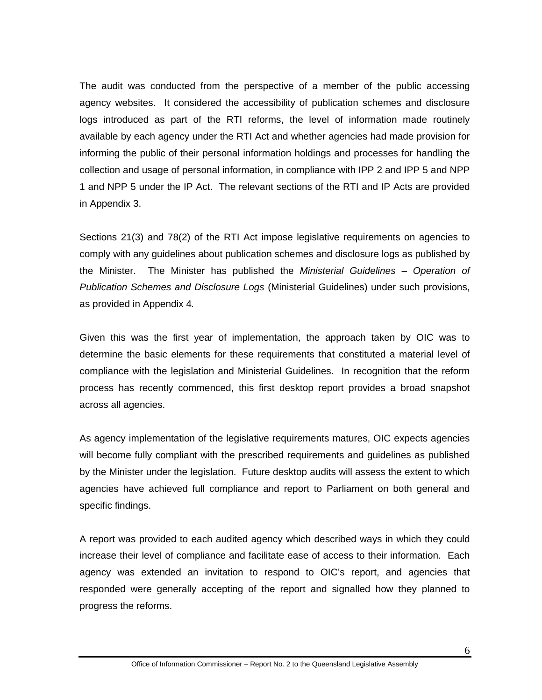The audit was conducted from the perspective of a member of the public accessing agency websites. It considered the accessibility of publication schemes and disclosure logs introduced as part of the RTI reforms, the level of information made routinely available by each agency under the RTI Act and whether agencies had made provision for informing the public of their personal information holdings and processes for handling the collection and usage of personal information, in compliance with IPP 2 and IPP 5 and NPP 1 and NPP 5 under the IP Act. The relevant sections of the RTI and IP Acts are provided in Appendix 3.

Sections 21(3) and 78(2) of the RTI Act impose legislative requirements on agencies to comply with any guidelines about publication schemes and disclosure logs as published by the Minister. The Minister has published the *Ministerial Guidelines – Operation of Publication Schemes and Disclosure Logs* (Ministerial Guidelines) under such provisions, as provided in Appendix 4*.*

Given this was the first year of implementation, the approach taken by OIC was to determine the basic elements for these requirements that constituted a material level of compliance with the legislation and Ministerial Guidelines. In recognition that the reform process has recently commenced, this first desktop report provides a broad snapshot across all agencies.

As agency implementation of the legislative requirements matures, OIC expects agencies will become fully compliant with the prescribed requirements and guidelines as published by the Minister under the legislation. Future desktop audits will assess the extent to which agencies have achieved full compliance and report to Parliament on both general and specific findings.

A report was provided to each audited agency which described ways in which they could increase their level of compliance and facilitate ease of access to their information. Each agency was extended an invitation to respond to OIC's report, and agencies that responded were generally accepting of the report and signalled how they planned to progress the reforms.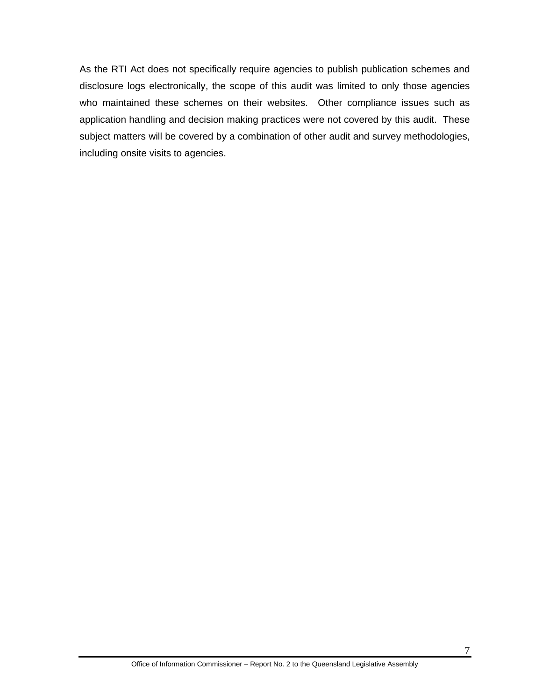As the RTI Act does not specifically require agencies to publish publication schemes and disclosure logs electronically, the scope of this audit was limited to only those agencies who maintained these schemes on their websites. Other compliance issues such as application handling and decision making practices were not covered by this audit. These subject matters will be covered by a combination of other audit and survey methodologies, including onsite visits to agencies.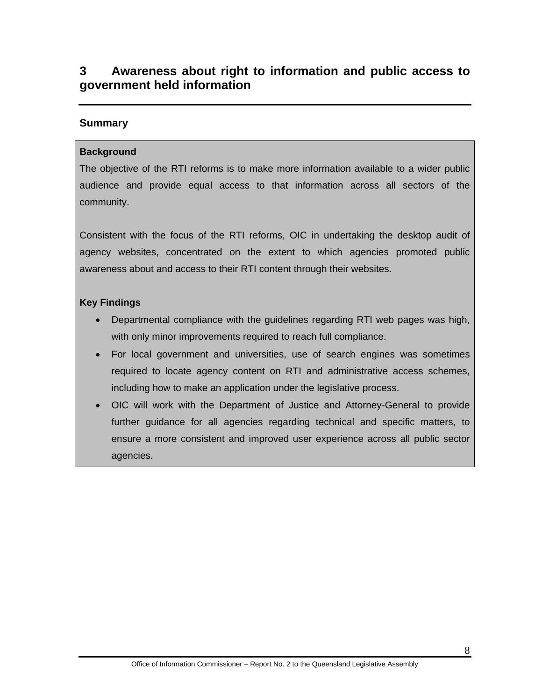# <span id="page-12-0"></span>**3 Awareness about right to information and public access to government held information**

# **Summary**

### **Background**

The objective of the RTI reforms is to make more information available to a wider public audience and provide equal access to that information across all sectors of the community.

Consistent with the focus of the RTI reforms, OIC in undertaking the desktop audit of agency websites, concentrated on the extent to which agencies promoted public awareness about and access to their RTI content through their websites.

#### **Key Findings**

- Departmental compliance with the guidelines regarding RTI web pages was high, with only minor improvements required to reach full compliance.
- For local government and universities, use of search engines was sometimes required to locate agency content on RTI and administrative access schemes, including how to make an application under the legislative process.
- OIC will work with the Department of Justice and Attorney-General to provide further guidance for all agencies regarding technical and specific matters, to ensure a more consistent and improved user experience across all public sector agencies.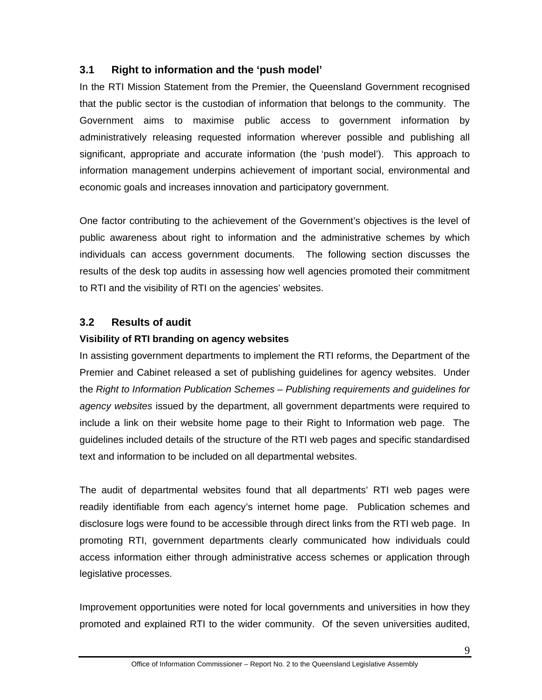# <span id="page-13-0"></span>**3.1 Right to information and the 'push model'**

In the RTI Mission Statement from the Premier, the Queensland Government recognised that the public sector is the custodian of information that belongs to the community. The Government aims to maximise public access to government information by administratively releasing requested information wherever possible and publishing all significant, appropriate and accurate information (the 'push model'). This approach to information management underpins achievement of important social, environmental and economic goals and increases innovation and participatory government.

One factor contributing to the achievement of the Government's objectives is the level of public awareness about right to information and the administrative schemes by which individuals can access government documents. The following section discusses the results of the desk top audits in assessing how well agencies promoted their commitment to RTI and the visibility of RTI on the agencies' websites.

# <span id="page-13-1"></span>**3.2 Results of audit**

# **Visibility of RTI branding on agency websites**

In assisting government departments to implement the RTI reforms, the Department of the Premier and Cabinet released a set of publishing guidelines for agency websites. Under the *Right to Information Publication Schemes – Publishing requirements and guidelines for agency websites* issued by the department, all government departments were required to include a link on their website home page to their Right to Information web page. The guidelines included details of the structure of the RTI web pages and specific standardised text and information to be included on all departmental websites.

The audit of departmental websites found that all departments' RTI web pages were readily identifiable from each agency's internet home page. Publication schemes and disclosure logs were found to be accessible through direct links from the RTI web page. In promoting RTI, government departments clearly communicated how individuals could access information either through administrative access schemes or application through legislative processes.

Improvement opportunities were noted for local governments and universities in how they promoted and explained RTI to the wider community. Of the seven universities audited,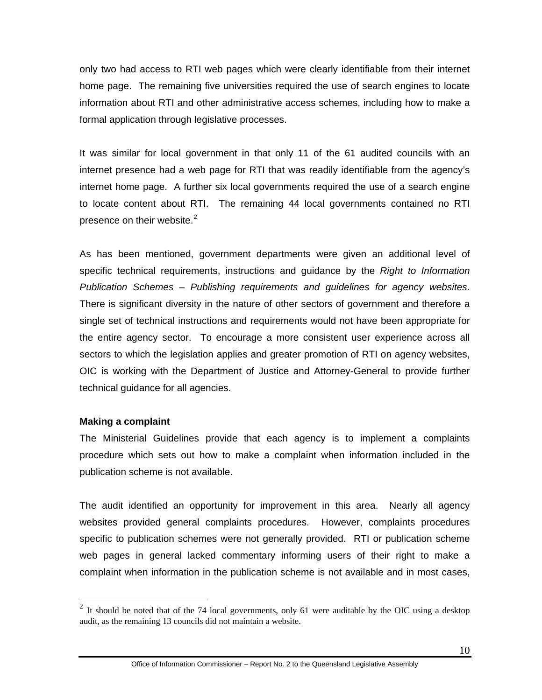only two had access to RTI web pages which were clearly identifiable from their internet home page. The remaining five universities required the use of search engines to locate information about RTI and other administrative access schemes, including how to make a formal application through legislative processes.

It was similar for local government in that only 11 of the 61 audited councils with an internet presence had a web page for RTI that was readily identifiable from the agency's internet home page. A further six local governments required the use of a search engine to locate content about RTI. The remaining 44 local governments contained no RTI presence on their website. $2$ 

As has been mentioned, government departments were given an additional level of specific technical requirements, instructions and guidance by the *Right to Information Publication Schemes – Publishing requirements and guidelines for agency websites*. There is significant diversity in the nature of other sectors of government and therefore a single set of technical instructions and requirements would not have been appropriate for the entire agency sector. To encourage a more consistent user experience across all sectors to which the legislation applies and greater promotion of RTI on agency websites, OIC is working with the Department of Justice and Attorney-General to provide further technical guidance for all agencies.

#### **Making a complaint**

 $\overline{a}$ 

The Ministerial Guidelines provide that each agency is to implement a complaints procedure which sets out how to make a complaint when information included in the publication scheme is not available.

The audit identified an opportunity for improvement in this area. Nearly all agency websites provided general complaints procedures. However, complaints procedures specific to publication schemes were not generally provided. RTI or publication scheme web pages in general lacked commentary informing users of their right to make a complaint when information in the publication scheme is not available and in most cases,

<span id="page-14-0"></span><sup>&</sup>lt;sup>2</sup> It should be noted that of the 74 local governments, only 61 were auditable by the OIC using a desktop audit, as the remaining 13 councils did not maintain a website.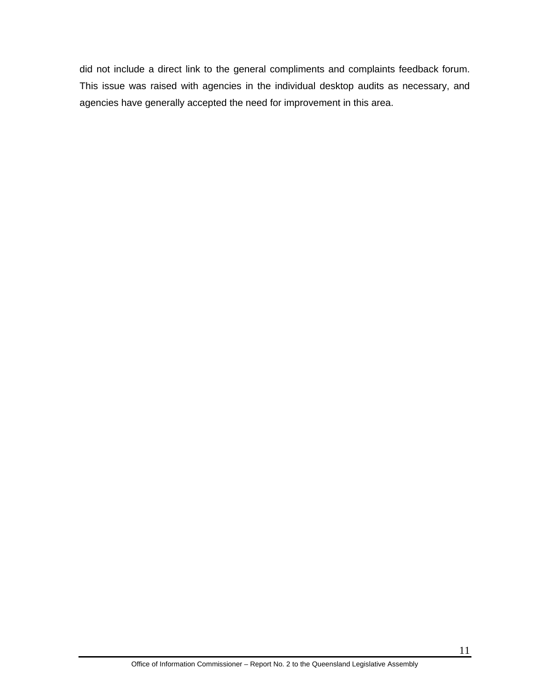did not include a direct link to the general compliments and complaints feedback forum. This issue was raised with agencies in the individual desktop audits as necessary, and agencies have generally accepted the need for improvement in this area.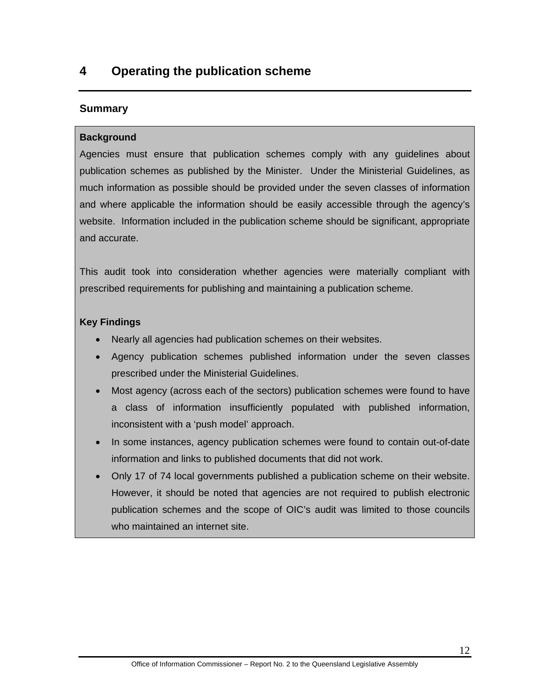# <span id="page-16-0"></span>**4 Operating the publication scheme**

# **Summary**

### **Background**

Agencies must ensure that publication schemes comply with any guidelines about publication schemes as published by the Minister. Under the Ministerial Guidelines, as much information as possible should be provided under the seven classes of information and where applicable the information should be easily accessible through the agency's website. Information included in the publication scheme should be significant, appropriate and accurate.

This audit took into consideration whether agencies were materially compliant with prescribed requirements for publishing and maintaining a publication scheme.

#### **Key Findings**

- Nearly all agencies had publication schemes on their websites.
- Agency publication schemes published information under the seven classes prescribed under the Ministerial Guidelines.
- Most agency (across each of the sectors) publication schemes were found to have a class of information insufficiently populated with published information, inconsistent with a 'push model' approach.
- In some instances, agency publication schemes were found to contain out-of-date information and links to published documents that did not work.
- Only 17 of 74 local governments published a publication scheme on their website. However, it should be noted that agencies are not required to publish electronic publication schemes and the scope of OIC's audit was limited to those councils who maintained an internet site.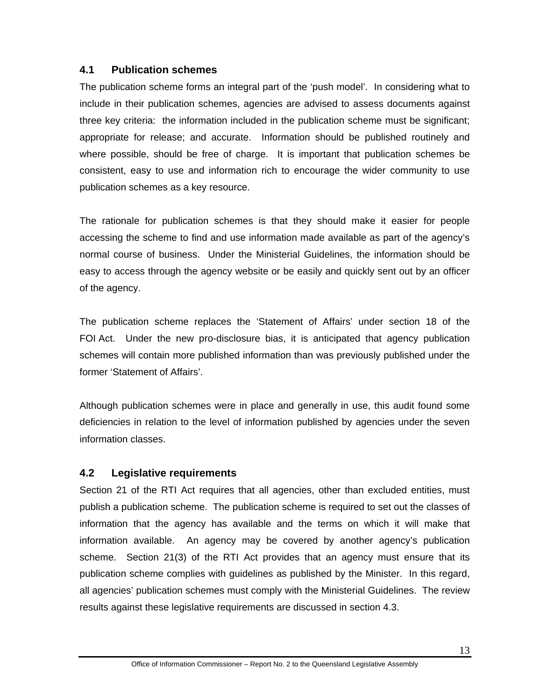# <span id="page-17-0"></span>**4.1 Publication schemes**

The publication scheme forms an integral part of the 'push model'. In considering what to include in their publication schemes, agencies are advised to assess documents against three key criteria: the information included in the publication scheme must be significant; appropriate for release; and accurate. Information should be published routinely and where possible, should be free of charge. It is important that publication schemes be consistent, easy to use and information rich to encourage the wider community to use publication schemes as a key resource.

The rationale for publication schemes is that they should make it easier for people accessing the scheme to find and use information made available as part of the agency's normal course of business. Under the Ministerial Guidelines, the information should be easy to access through the agency website or be easily and quickly sent out by an officer of the agency.

The publication scheme replaces the 'Statement of Affairs' under section 18 of the FOI Act. Under the new pro-disclosure bias, it is anticipated that agency publication schemes will contain more published information than was previously published under the former 'Statement of Affairs'.

Although publication schemes were in place and generally in use, this audit found some deficiencies in relation to the level of information published by agencies under the seven information classes.

# <span id="page-17-1"></span>**4.2 Legislative requirements**

Section 21 of the RTI Act requires that all agencies, other than excluded entities, must publish a publication scheme. The publication scheme is required to set out the classes of information that the agency has available and the terms on which it will make that information available. An agency may be covered by another agency's publication scheme. Section 21(3) of the RTI Act provides that an agency must ensure that its publication scheme complies with guidelines as published by the Minister. In this regard, all agencies' publication schemes must comply with the Ministerial Guidelines. The review results against these legislative requirements are discussed in section 4.3.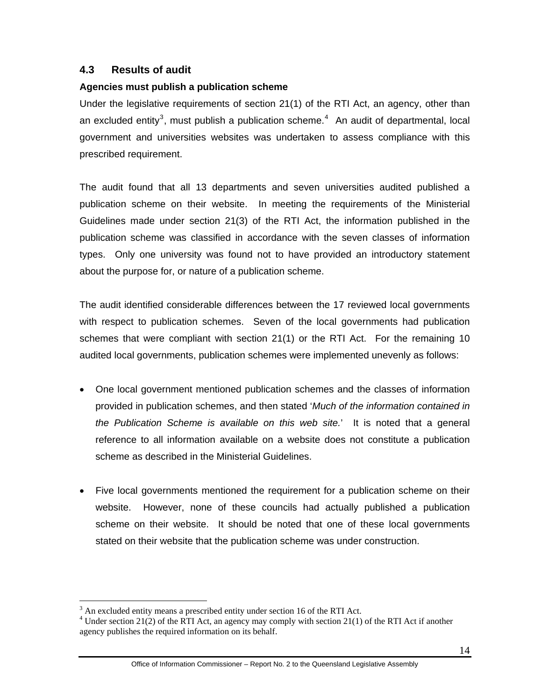# <span id="page-18-0"></span>**4.3 Results of audit**

#### **Agencies must publish a publication scheme**

Under the legislative requirements of section 21(1) of the RTI Act, an agency, other than an excluded entity<sup>[3](#page-18-1)</sup>, must publish a publication scheme.<sup>[4](#page-18-2)</sup> An audit of departmental, local government and universities websites was undertaken to assess compliance with this prescribed requirement.

The audit found that all 13 departments and seven universities audited published a publication scheme on their website. In meeting the requirements of the Ministerial Guidelines made under section 21(3) of the RTI Act, the information published in the publication scheme was classified in accordance with the seven classes of information types. Only one university was found not to have provided an introductory statement about the purpose for, or nature of a publication scheme.

The audit identified considerable differences between the 17 reviewed local governments with respect to publication schemes. Seven of the local governments had publication schemes that were compliant with section 21(1) or the RTI Act. For the remaining 10 audited local governments, publication schemes were implemented unevenly as follows:

- One local government mentioned publication schemes and the classes of information provided in publication schemes, and then stated '*Much of the information contained in the Publication Scheme is available on this web site.*' It is noted that a general reference to all information available on a website does not constitute a publication scheme as described in the Ministerial Guidelines.
- Five local governments mentioned the requirement for a publication scheme on their website. However, none of these councils had actually published a publication scheme on their website. It should be noted that one of these local governments stated on their website that the publication scheme was under construction.

 $\overline{a}$ 

 $3$  An excluded entity means a prescribed entity under section 16 of the RTI Act.

<span id="page-18-2"></span><span id="page-18-1"></span> $4$  Under section 21(2) of the RTI Act, an agency may comply with section 21(1) of the RTI Act if another agency publishes the required information on its behalf.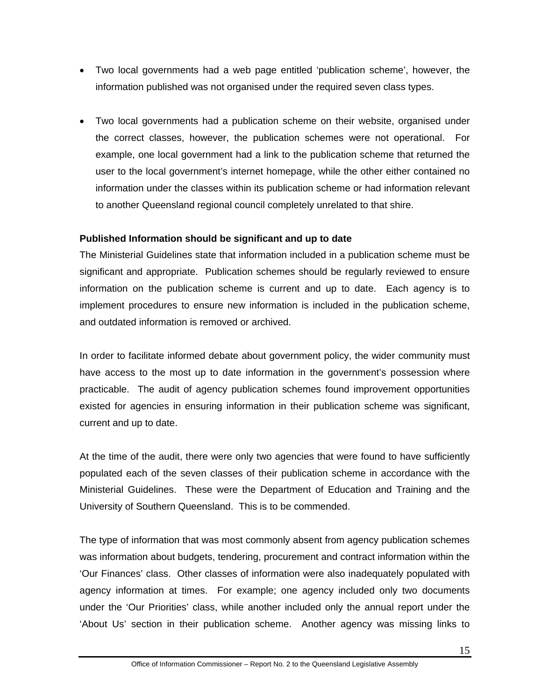- Two local governments had a web page entitled 'publication scheme', however, the information published was not organised under the required seven class types.
- Two local governments had a publication scheme on their website, organised under the correct classes, however, the publication schemes were not operational. For example, one local government had a link to the publication scheme that returned the user to the local government's internet homepage, while the other either contained no information under the classes within its publication scheme or had information relevant to another Queensland regional council completely unrelated to that shire.

# **Published Information should be significant and up to date**

The Ministerial Guidelines state that information included in a publication scheme must be significant and appropriate. Publication schemes should be regularly reviewed to ensure information on the publication scheme is current and up to date. Each agency is to implement procedures to ensure new information is included in the publication scheme, and outdated information is removed or archived.

In order to facilitate informed debate about government policy, the wider community must have access to the most up to date information in the government's possession where practicable. The audit of agency publication schemes found improvement opportunities existed for agencies in ensuring information in their publication scheme was significant, current and up to date.

At the time of the audit, there were only two agencies that were found to have sufficiently populated each of the seven classes of their publication scheme in accordance with the Ministerial Guidelines. These were the Department of Education and Training and the University of Southern Queensland. This is to be commended.

The type of information that was most commonly absent from agency publication schemes was information about budgets, tendering, procurement and contract information within the 'Our Finances' class. Other classes of information were also inadequately populated with agency information at times. For example; one agency included only two documents under the 'Our Priorities' class, while another included only the annual report under the 'About Us' section in their publication scheme. Another agency was missing links to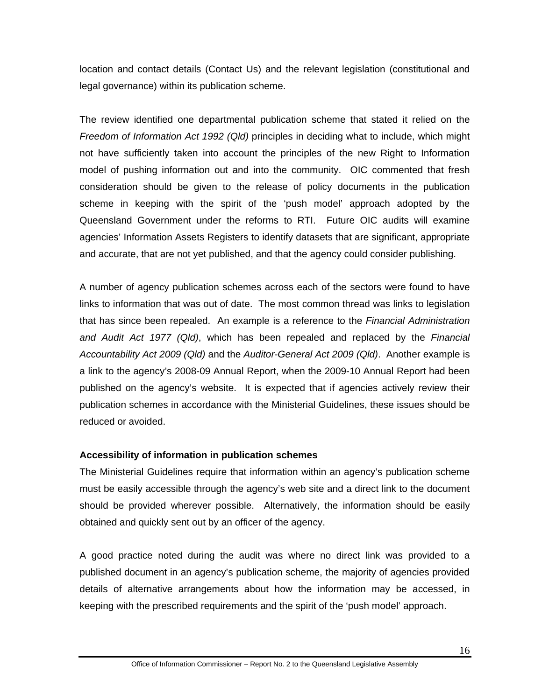location and contact details (Contact Us) and the relevant legislation (constitutional and legal governance) within its publication scheme.

The review identified one departmental publication scheme that stated it relied on the *Freedom of Information Act 1992 (Qld)* principles in deciding what to include, which might not have sufficiently taken into account the principles of the new Right to Information model of pushing information out and into the community. OIC commented that fresh consideration should be given to the release of policy documents in the publication scheme in keeping with the spirit of the 'push model' approach adopted by the Queensland Government under the reforms to RTI. Future OIC audits will examine agencies' Information Assets Registers to identify datasets that are significant, appropriate and accurate, that are not yet published, and that the agency could consider publishing.

A number of agency publication schemes across each of the sectors were found to have links to information that was out of date. The most common thread was links to legislation that has since been repealed. An example is a reference to the *Financial Administration and Audit Act 1977 (Qld)*, which has been repealed and replaced by the *Financial Accountability Act 2009 (Qld)* and the *Auditor-General Act 2009 (Qld)*. Another example is a link to the agency's 2008-09 Annual Report, when the 2009-10 Annual Report had been published on the agency's website. It is expected that if agencies actively review their publication schemes in accordance with the Ministerial Guidelines, these issues should be reduced or avoided.

# **Accessibility of information in publication schemes**

The Ministerial Guidelines require that information within an agency's publication scheme must be easily accessible through the agency's web site and a direct link to the document should be provided wherever possible. Alternatively, the information should be easily obtained and quickly sent out by an officer of the agency.

A good practice noted during the audit was where no direct link was provided to a published document in an agency's publication scheme, the majority of agencies provided details of alternative arrangements about how the information may be accessed, in keeping with the prescribed requirements and the spirit of the 'push model' approach.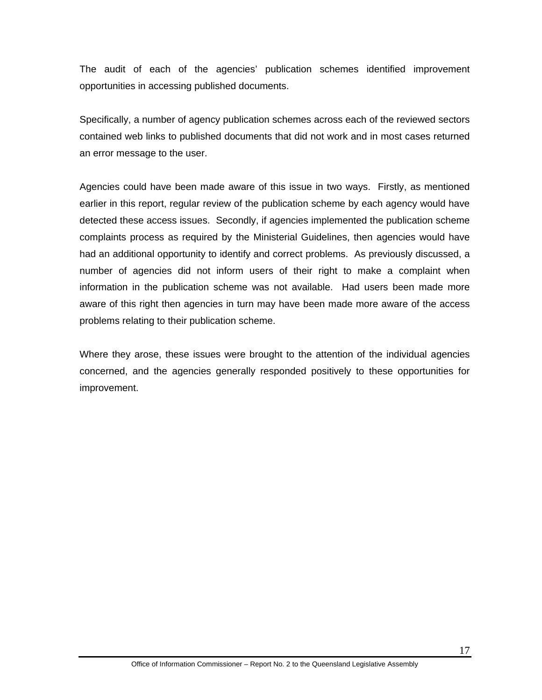The audit of each of the agencies' publication schemes identified improvement opportunities in accessing published documents.

Specifically, a number of agency publication schemes across each of the reviewed sectors contained web links to published documents that did not work and in most cases returned an error message to the user.

Agencies could have been made aware of this issue in two ways. Firstly, as mentioned earlier in this report, regular review of the publication scheme by each agency would have detected these access issues. Secondly, if agencies implemented the publication scheme complaints process as required by the Ministerial Guidelines, then agencies would have had an additional opportunity to identify and correct problems. As previously discussed, a number of agencies did not inform users of their right to make a complaint when information in the publication scheme was not available. Had users been made more aware of this right then agencies in turn may have been made more aware of the access problems relating to their publication scheme.

Where they arose, these issues were brought to the attention of the individual agencies concerned, and the agencies generally responded positively to these opportunities for improvement.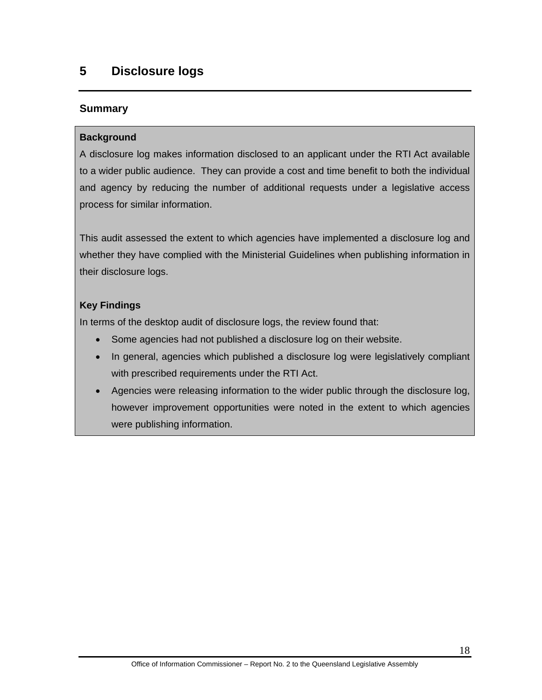# <span id="page-22-0"></span>**5 Disclosure logs**

# **Summary**

### **Background**

A disclosure log makes information disclosed to an applicant under the RTI Act available to a wider public audience. They can provide a cost and time benefit to both the individual and agency by reducing the number of additional requests under a legislative access process for similar information.

This audit assessed the extent to which agencies have implemented a disclosure log and whether they have complied with the Ministerial Guidelines when publishing information in their disclosure logs.

# **Key Findings**

In terms of the desktop audit of disclosure logs, the review found that:

- Some agencies had not published a disclosure log on their website.
- In general, agencies which published a disclosure log were legislatively compliant with prescribed requirements under the RTI Act.
- Agencies were releasing information to the wider public through the disclosure log, however improvement opportunities were noted in the extent to which agencies were publishing information.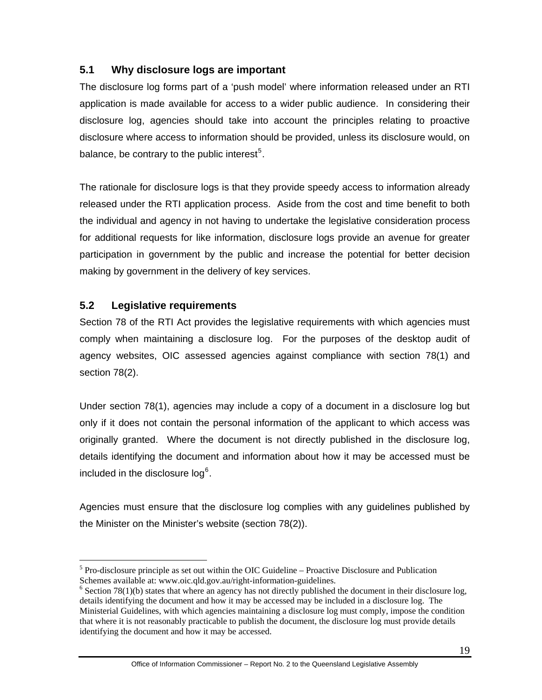# <span id="page-23-0"></span>**5.1 Why disclosure logs are important**

The disclosure log forms part of a 'push model' where information released under an RTI application is made available for access to a wider public audience. In considering their disclosure log, agencies should take into account the principles relating to proactive disclosure where access to information should be provided, unless its disclosure would, on balance, be contrary to the public interest<sup>[5](#page-23-2)</sup>.

The rationale for disclosure logs is that they provide speedy access to information already released under the RTI application process. Aside from the cost and time benefit to both the individual and agency in not having to undertake the legislative consideration process for additional requests for like information, disclosure logs provide an avenue for greater participation in government by the public and increase the potential for better decision making by government in the delivery of key services.

# <span id="page-23-1"></span>**5.2 Legislative requirements**

 $\overline{a}$ 

Section 78 of the RTI Act provides the legislative requirements with which agencies must comply when maintaining a disclosure log. For the purposes of the desktop audit of agency websites, OIC assessed agencies against compliance with section 78(1) and section 78(2).

Under section 78(1), agencies may include a copy of a document in a disclosure log but only if it does not contain the personal information of the applicant to which access was originally granted. Where the document is not directly published in the disclosure log, details identifying the document and information about how it may be accessed must be included in the disclosure log $^6$  $^6$ .

Agencies must ensure that the disclosure log complies with any guidelines published by the Minister on the Minister's website (section 78(2)).

<span id="page-23-2"></span> $<sup>5</sup>$  Pro-disclosure principle as set out within the OIC Guideline – Proactive Disclosure and Publication</sup> Schemes available at: www.oic.qld.gov.au/right-information-guidelines.

<span id="page-23-3"></span> $6$  Section 78(1)(b) states that where an agency has not directly published the document in their disclosure log, details identifying the document and how it may be accessed may be included in a disclosure log. The Ministerial Guidelines, with which agencies maintaining a disclosure log must comply, impose the condition that where it is not reasonably practicable to publish the document, the disclosure log must provide details identifying the document and how it may be accessed.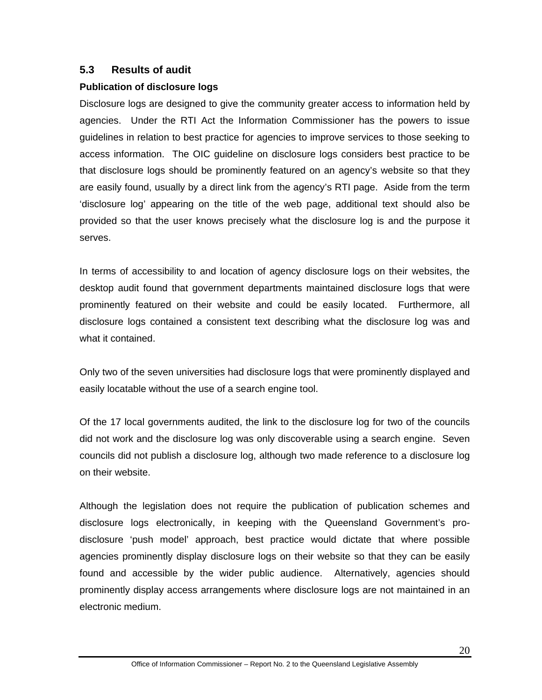# <span id="page-24-0"></span>**5.3 Results of audit**

#### **Publication of disclosure logs**

Disclosure logs are designed to give the community greater access to information held by agencies. Under the RTI Act the Information Commissioner has the powers to issue guidelines in relation to best practice for agencies to improve services to those seeking to access information. The OIC guideline on disclosure logs considers best practice to be that disclosure logs should be prominently featured on an agency's website so that they are easily found, usually by a direct link from the agency's RTI page. Aside from the term 'disclosure log' appearing on the title of the web page, additional text should also be provided so that the user knows precisely what the disclosure log is and the purpose it serves.

In terms of accessibility to and location of agency disclosure logs on their websites, the desktop audit found that government departments maintained disclosure logs that were prominently featured on their website and could be easily located. Furthermore, all disclosure logs contained a consistent text describing what the disclosure log was and what it contained.

Only two of the seven universities had disclosure logs that were prominently displayed and easily locatable without the use of a search engine tool.

Of the 17 local governments audited, the link to the disclosure log for two of the councils did not work and the disclosure log was only discoverable using a search engine. Seven councils did not publish a disclosure log, although two made reference to a disclosure log on their website.

Although the legislation does not require the publication of publication schemes and disclosure logs electronically, in keeping with the Queensland Government's prodisclosure 'push model' approach, best practice would dictate that where possible agencies prominently display disclosure logs on their website so that they can be easily found and accessible by the wider public audience. Alternatively, agencies should prominently display access arrangements where disclosure logs are not maintained in an electronic medium.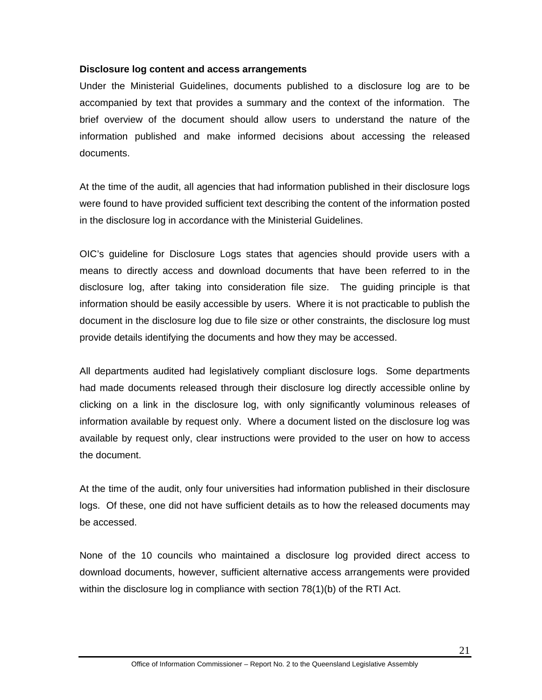#### **Disclosure log content and access arrangements**

Under the Ministerial Guidelines, documents published to a disclosure log are to be accompanied by text that provides a summary and the context of the information. The brief overview of the document should allow users to understand the nature of the information published and make informed decisions about accessing the released documents.

At the time of the audit, all agencies that had information published in their disclosure logs were found to have provided sufficient text describing the content of the information posted in the disclosure log in accordance with the Ministerial Guidelines.

OIC's guideline for Disclosure Logs states that agencies should provide users with a means to directly access and download documents that have been referred to in the disclosure log, after taking into consideration file size. The guiding principle is that information should be easily accessible by users. Where it is not practicable to publish the document in the disclosure log due to file size or other constraints, the disclosure log must provide details identifying the documents and how they may be accessed.

All departments audited had legislatively compliant disclosure logs. Some departments had made documents released through their disclosure log directly accessible online by clicking on a link in the disclosure log, with only significantly voluminous releases of information available by request only. Where a document listed on the disclosure log was available by request only, clear instructions were provided to the user on how to access the document.

At the time of the audit, only four universities had information published in their disclosure logs. Of these, one did not have sufficient details as to how the released documents may be accessed.

None of the 10 councils who maintained a disclosure log provided direct access to download documents, however, sufficient alternative access arrangements were provided within the disclosure log in compliance with section 78(1)(b) of the RTI Act.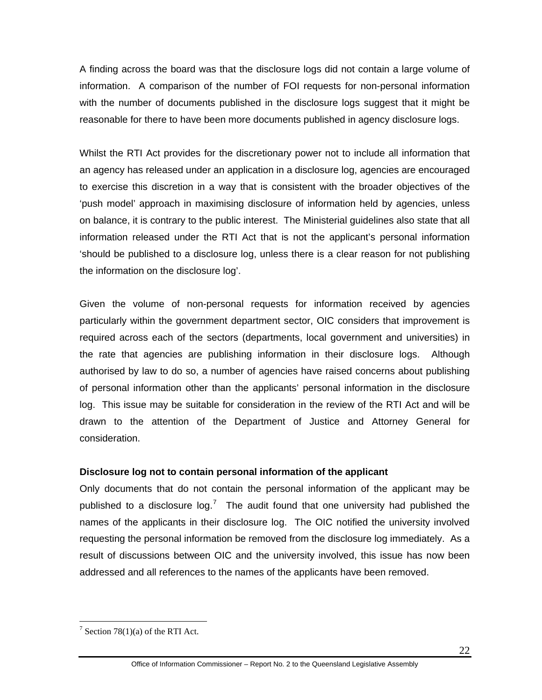A finding across the board was that the disclosure logs did not contain a large volume of information. A comparison of the number of FOI requests for non-personal information with the number of documents published in the disclosure logs suggest that it might be reasonable for there to have been more documents published in agency disclosure logs.

Whilst the RTI Act provides for the discretionary power not to include all information that an agency has released under an application in a disclosure log, agencies are encouraged to exercise this discretion in a way that is consistent with the broader objectives of the 'push model' approach in maximising disclosure of information held by agencies, unless on balance, it is contrary to the public interest. The Ministerial guidelines also state that all information released under the RTI Act that is not the applicant's personal information 'should be published to a disclosure log, unless there is a clear reason for not publishing the information on the disclosure log'.

Given the volume of non-personal requests for information received by agencies particularly within the government department sector, OIC considers that improvement is required across each of the sectors (departments, local government and universities) in the rate that agencies are publishing information in their disclosure logs. Although authorised by law to do so, a number of agencies have raised concerns about publishing of personal information other than the applicants' personal information in the disclosure log. This issue may be suitable for consideration in the review of the RTI Act and will be drawn to the attention of the Department of Justice and Attorney General for consideration.

#### **Disclosure log not to contain personal information of the applicant**

Only documents that do not contain the personal information of the applicant may be published to a disclosure  $log.<sup>7</sup>$  $log.<sup>7</sup>$  $log.<sup>7</sup>$  The audit found that one university had published the names of the applicants in their disclosure log. The OIC notified the university involved requesting the personal information be removed from the disclosure log immediately. As a result of discussions between OIC and the university involved, this issue has now been addressed and all references to the names of the applicants have been removed.

 $\overline{a}$ 

<span id="page-26-0"></span><sup>&</sup>lt;sup>7</sup> Section 78(1)(a) of the RTI Act.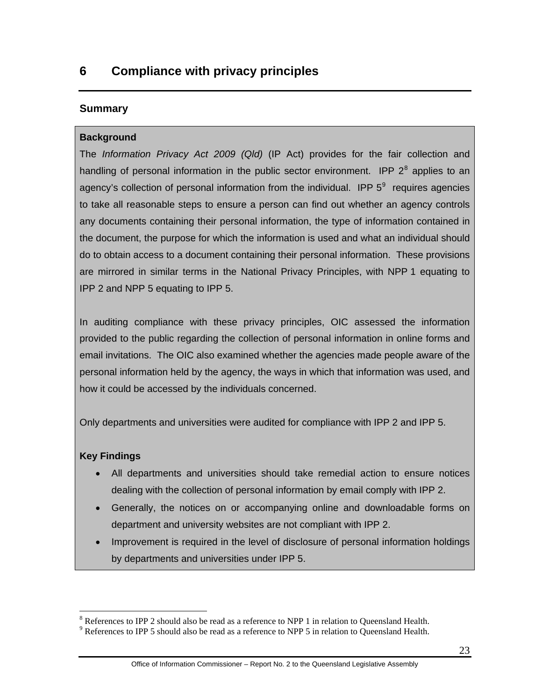# <span id="page-27-0"></span>**Summary**

# **Background**

The *Information Privacy Act 2009 (Qld)* (IP Act) provides for the fair collection and handling of personal information in the public sector environment. IPP  $2^8$  $2^8$  applies to an agency's collection of personal information from the individual. IPP  $5^9$  $5^9$  requires agencies to take all reasonable steps to ensure a person can find out whether an agency controls any documents containing their personal information, the type of information contained in the document, the purpose for which the information is used and what an individual should do to obtain access to a document containing their personal information. These provisions are mirrored in similar terms in the National Privacy Principles, with NPP 1 equating to IPP 2 and NPP 5 equating to IPP 5.

In auditing compliance with these privacy principles, OIC assessed the information provided to the public regarding the collection of personal information in online forms and email invitations. The OIC also examined whether the agencies made people aware of the personal information held by the agency, the ways in which that information was used, and how it could be accessed by the individuals concerned.

Only departments and universities were audited for compliance with IPP 2 and IPP 5.

# **Key Findings**

 $\overline{a}$ 

- All departments and universities should take remedial action to ensure notices dealing with the collection of personal information by email comply with IPP 2.
- Generally, the notices on or accompanying online and downloadable forms on department and university websites are not compliant with IPP 2.
- Improvement is required in the level of disclosure of personal information holdings by departments and universities under IPP 5.

<sup>&</sup>lt;sup>8</sup> References to IPP 2 should also be read as a reference to NPP 1 in relation to Queensland Health.

<span id="page-27-2"></span><span id="page-27-1"></span> $9$  References to IPP 5 should also be read as a reference to NPP 5 in relation to Queensland Health.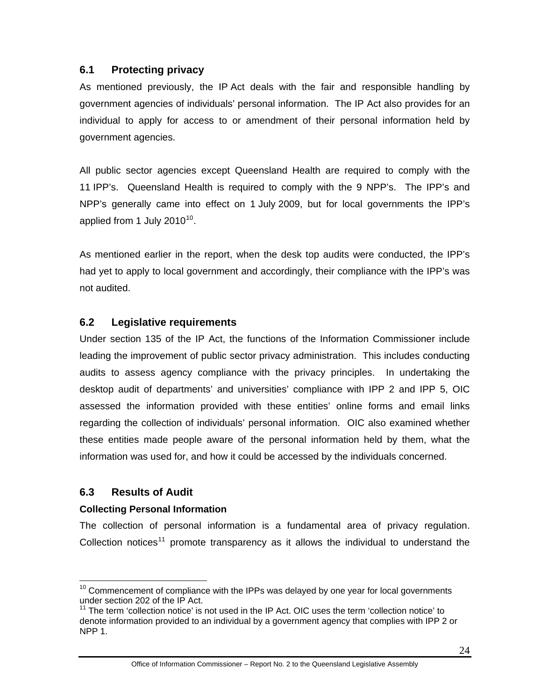# <span id="page-28-0"></span>**6.1 Protecting privacy**

As mentioned previously, the IP Act deals with the fair and responsible handling by government agencies of individuals' personal information. The IP Act also provides for an individual to apply for access to or amendment of their personal information held by government agencies.

All public sector agencies except Queensland Health are required to comply with the 11 IPP's. Queensland Health is required to comply with the 9 NPP's. The IPP's and NPP's generally came into effect on 1 July 2009, but for local governments the IPP's applied from 1 July  $2010^{10}$  $2010^{10}$  $2010^{10}$ .

As mentioned earlier in the report, when the desk top audits were conducted, the IPP's had yet to apply to local government and accordingly, their compliance with the IPP's was not audited.

# <span id="page-28-1"></span>**6.2 Legislative requirements**

Under section 135 of the IP Act, the functions of the Information Commissioner include leading the improvement of public sector privacy administration. This includes conducting audits to assess agency compliance with the privacy principles. In undertaking the desktop audit of departments' and universities' compliance with IPP 2 and IPP 5, OIC assessed the information provided with these entities' online forms and email links regarding the collection of individuals' personal information. OIC also examined whether these entities made people aware of the personal information held by them, what the information was used for, and how it could be accessed by the individuals concerned.

# <span id="page-28-2"></span>**6.3 Results of Audit**

# **Collecting Personal Information**

The collection of personal information is a fundamental area of privacy regulation. Collection notices<sup>[11](#page-28-4)</sup> promote transparency as it allows the individual to understand the

<span id="page-28-3"></span> $\overline{a}$  $10$  Commencement of compliance with the IPPs was delayed by one year for local governments under section 202 of the IP Act.

<span id="page-28-4"></span> $11$  The term 'collection notice' is not used in the IP Act. OIC uses the term 'collection notice' to denote information provided to an individual by a government agency that complies with IPP 2 or NPP 1.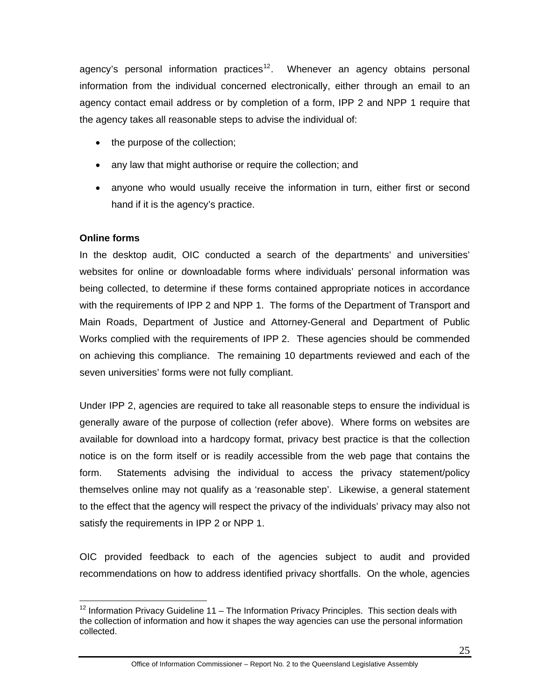agency's personal information practices<sup>[12](#page-29-0)</sup>. Whenever an agency obtains personal information from the individual concerned electronically, either through an email to an agency contact email address or by completion of a form, IPP 2 and NPP 1 require that the agency takes all reasonable steps to advise the individual of:

- the purpose of the collection;
- any law that might authorise or require the collection; and
- anyone who would usually receive the information in turn, either first or second hand if it is the agency's practice.

# **Online forms**

In the desktop audit, OIC conducted a search of the departments' and universities' websites for online or downloadable forms where individuals' personal information was being collected, to determine if these forms contained appropriate notices in accordance with the requirements of IPP 2 and NPP 1. The forms of the Department of Transport and Main Roads, Department of Justice and Attorney-General and Department of Public Works complied with the requirements of IPP 2. These agencies should be commended on achieving this compliance. The remaining 10 departments reviewed and each of the seven universities' forms were not fully compliant.

Under IPP 2, agencies are required to take all reasonable steps to ensure the individual is generally aware of the purpose of collection (refer above). Where forms on websites are available for download into a hardcopy format, privacy best practice is that the collection notice is on the form itself or is readily accessible from the web page that contains the form. Statements advising the individual to access the privacy statement/policy themselves online may not qualify as a 'reasonable step'. Likewise, a general statement to the effect that the agency will respect the privacy of the individuals' privacy may also not satisfy the requirements in IPP 2 or NPP 1.

OIC provided feedback to each of the agencies subject to audit and provided recommendations on how to address identified privacy shortfalls. On the whole, agencies

<span id="page-29-0"></span> $\overline{a}$  $12$  Information Privacy Guideline 11 – The Information Privacy Principles. This section deals with the collection of information and how it shapes the way agencies can use the personal information collected.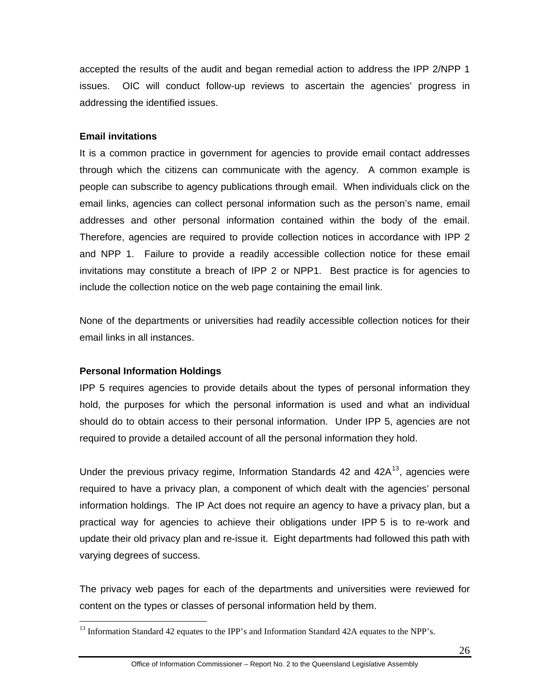accepted the results of the audit and began remedial action to address the IPP 2/NPP 1 issues. OIC will conduct follow-up reviews to ascertain the agencies' progress in addressing the identified issues.

#### **Email invitations**

It is a common practice in government for agencies to provide email contact addresses through which the citizens can communicate with the agency. A common example is people can subscribe to agency publications through email. When individuals click on the email links, agencies can collect personal information such as the person's name, email addresses and other personal information contained within the body of the email. Therefore, agencies are required to provide collection notices in accordance with IPP 2 and NPP 1. Failure to provide a readily accessible collection notice for these email invitations may constitute a breach of IPP 2 or NPP1. Best practice is for agencies to include the collection notice on the web page containing the email link.

None of the departments or universities had readily accessible collection notices for their email links in all instances.

#### **Personal Information Holdings**

 $\overline{a}$ 

IPP 5 requires agencies to provide details about the types of personal information they hold, the purposes for which the personal information is used and what an individual should do to obtain access to their personal information. Under IPP 5, agencies are not required to provide a detailed account of all the personal information they hold.

Under the previous privacy regime, Information Standards 42 and  $42A<sup>13</sup>$  $42A<sup>13</sup>$  $42A<sup>13</sup>$ , agencies were required to have a privacy plan, a component of which dealt with the agencies' personal information holdings. The IP Act does not require an agency to have a privacy plan, but a practical way for agencies to achieve their obligations under IPP 5 is to re-work and update their old privacy plan and re-issue it. Eight departments had followed this path with varying degrees of success.

The privacy web pages for each of the departments and universities were reviewed for content on the types or classes of personal information held by them.

<span id="page-30-0"></span><sup>&</sup>lt;sup>13</sup> Information Standard 42 equates to the IPP's and Information Standard 42A equates to the NPP's.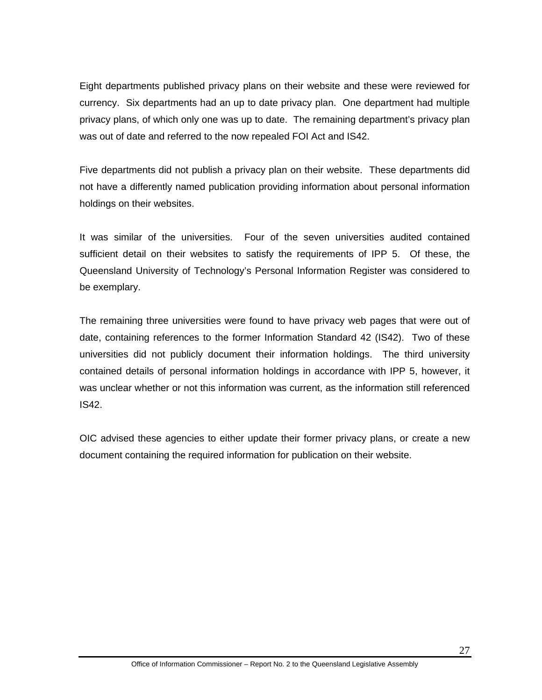Eight departments published privacy plans on their website and these were reviewed for currency. Six departments had an up to date privacy plan. One department had multiple privacy plans, of which only one was up to date. The remaining department's privacy plan was out of date and referred to the now repealed FOI Act and IS42.

Five departments did not publish a privacy plan on their website. These departments did not have a differently named publication providing information about personal information holdings on their websites.

It was similar of the universities. Four of the seven universities audited contained sufficient detail on their websites to satisfy the requirements of IPP 5. Of these, the Queensland University of Technology's Personal Information Register was considered to be exemplary.

The remaining three universities were found to have privacy web pages that were out of date, containing references to the former Information Standard 42 (IS42). Two of these universities did not publicly document their information holdings. The third university contained details of personal information holdings in accordance with IPP 5, however, it was unclear whether or not this information was current, as the information still referenced IS42.

OIC advised these agencies to either update their former privacy plans, or create a new document containing the required information for publication on their website.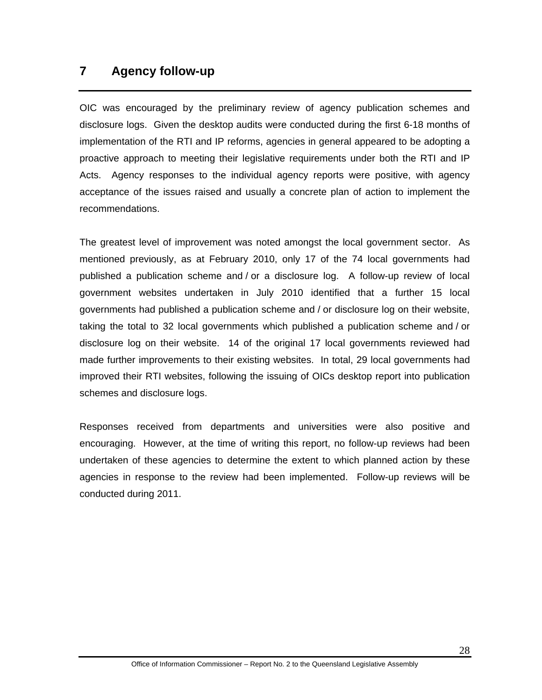# <span id="page-32-0"></span>**7 Agency follow-up**

OIC was encouraged by the preliminary review of agency publication schemes and disclosure logs. Given the desktop audits were conducted during the first 6-18 months of implementation of the RTI and IP reforms, agencies in general appeared to be adopting a proactive approach to meeting their legislative requirements under both the RTI and IP Acts. Agency responses to the individual agency reports were positive, with agency acceptance of the issues raised and usually a concrete plan of action to implement the recommendations.

The greatest level of improvement was noted amongst the local government sector. As mentioned previously, as at February 2010, only 17 of the 74 local governments had published a publication scheme and / or a disclosure log. A follow-up review of local government websites undertaken in July 2010 identified that a further 15 local governments had published a publication scheme and / or disclosure log on their website, taking the total to 32 local governments which published a publication scheme and / or disclosure log on their website. 14 of the original 17 local governments reviewed had made further improvements to their existing websites. In total, 29 local governments had improved their RTI websites, following the issuing of OICs desktop report into publication schemes and disclosure logs.

Responses received from departments and universities were also positive and encouraging. However, at the time of writing this report, no follow-up reviews had been undertaken of these agencies to determine the extent to which planned action by these agencies in response to the review had been implemented. Follow-up reviews will be conducted during 2011.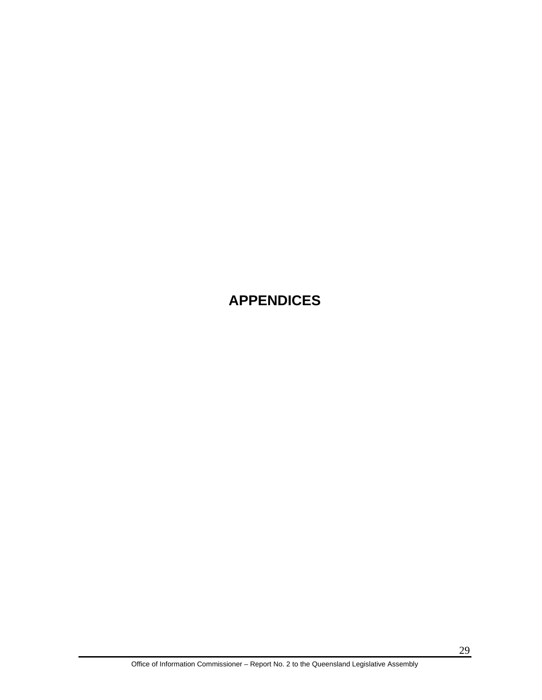# <span id="page-33-0"></span>**APPENDICES**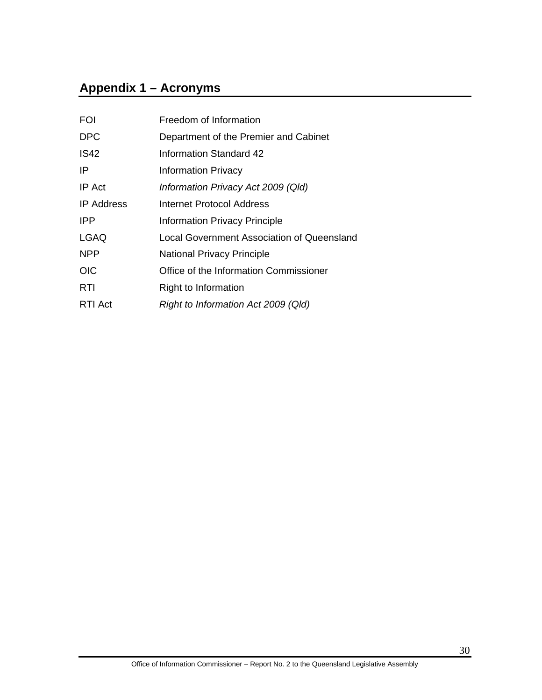# <span id="page-34-0"></span>**Appendix 1 – Acronyms**

| <b>FOI</b>        | Freedom of Information                     |
|-------------------|--------------------------------------------|
| <b>DPC</b>        | Department of the Premier and Cabinet      |
| <b>IS42</b>       | Information Standard 42                    |
| IP                | <b>Information Privacy</b>                 |
| IP Act            | Information Privacy Act 2009 (Qld)         |
| <b>IP</b> Address | Internet Protocol Address                  |
| <b>IPP</b>        | <b>Information Privacy Principle</b>       |
| <b>LGAQ</b>       | Local Government Association of Queensland |
| <b>NPP</b>        | <b>National Privacy Principle</b>          |
| <b>OIC</b>        | Office of the Information Commissioner     |
| <b>RTI</b>        | Right to Information                       |
| RTI Act           | Right to Information Act 2009 (Qld)        |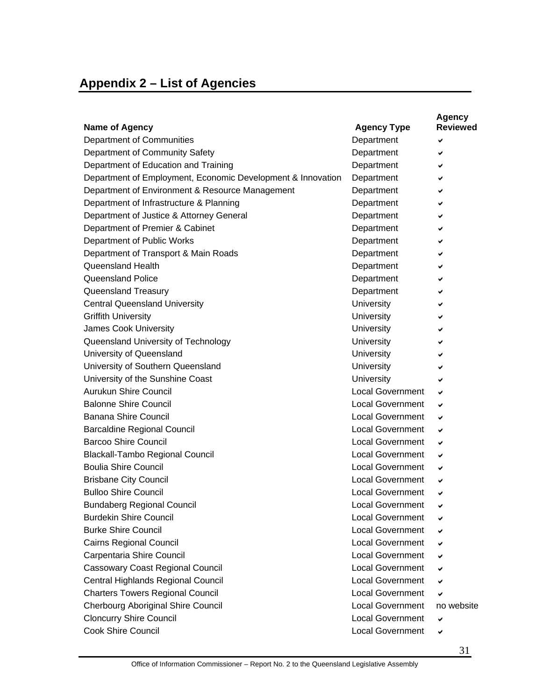# <span id="page-35-0"></span>**Appendix 2 – List of Agencies**

| <b>Name of Agency</b>                                       | <b>Agency Type</b>      | <b>Agency</b><br><b>Reviewed</b> |
|-------------------------------------------------------------|-------------------------|----------------------------------|
| Department of Communities                                   | Department              | ✔                                |
| Department of Community Safety                              | Department              | ✔                                |
| Department of Education and Training                        | Department              | ✔                                |
| Department of Employment, Economic Development & Innovation | Department              | ✔                                |
| Department of Environment & Resource Management             | Department              | ✔                                |
| Department of Infrastructure & Planning                     | Department              | ✔                                |
| Department of Justice & Attorney General                    | Department              | ✔                                |
| Department of Premier & Cabinet                             | Department              |                                  |
| Department of Public Works                                  | Department              | ✔                                |
| Department of Transport & Main Roads                        | Department              | ✔                                |
| Queensland Health                                           | Department              | ✔                                |
| Queensland Police                                           | Department              | ✔                                |
| Queensland Treasury                                         | Department              | ✔                                |
| <b>Central Queensland University</b>                        | University              | ✔                                |
| <b>Griffith University</b>                                  | <b>University</b>       | ✔                                |
| James Cook University                                       | <b>University</b>       |                                  |
| Queensland University of Technology                         | <b>University</b>       | ✔                                |
| University of Queensland                                    | University              |                                  |
| University of Southern Queensland                           | University              |                                  |
| University of the Sunshine Coast                            | <b>University</b>       |                                  |
| Aurukun Shire Council                                       | <b>Local Government</b> | ✓                                |
| <b>Balonne Shire Council</b>                                | <b>Local Government</b> | ✔                                |
| <b>Banana Shire Council</b>                                 | <b>Local Government</b> | ✓                                |
| <b>Barcaldine Regional Council</b>                          | <b>Local Government</b> | ✔                                |
| <b>Barcoo Shire Council</b>                                 | <b>Local Government</b> | ✔                                |
| <b>Blackall-Tambo Regional Council</b>                      | <b>Local Government</b> | ✔                                |
| <b>Boulia Shire Council</b>                                 | <b>Local Government</b> | ✔                                |
| <b>Brisbane City Council</b>                                | <b>Local Government</b> | ✔                                |
| <b>Bulloo Shire Council</b>                                 | <b>Local Government</b> | ✔                                |
| <b>Bundaberg Regional Council</b>                           | <b>Local Government</b> | ✔                                |
| <b>Burdekin Shire Council</b>                               | <b>Local Government</b> | ✔                                |
| <b>Burke Shire Council</b>                                  | <b>Local Government</b> |                                  |
| Cairns Regional Council                                     | <b>Local Government</b> | ✔                                |
| Carpentaria Shire Council                                   | <b>Local Government</b> |                                  |
| <b>Cassowary Coast Regional Council</b>                     | <b>Local Government</b> | ✔                                |
| Central Highlands Regional Council                          | <b>Local Government</b> |                                  |
| <b>Charters Towers Regional Council</b>                     | <b>Local Government</b> |                                  |
| Cherbourg Aboriginal Shire Council                          | <b>Local Government</b> | no website                       |
| <b>Cloncurry Shire Council</b>                              | <b>Local Government</b> | ✔                                |
| Cook Shire Council                                          | <b>Local Government</b> | ✔                                |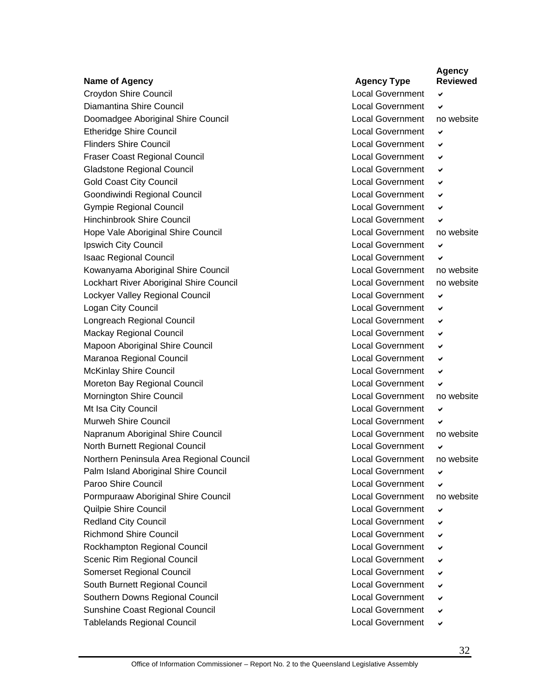|                                          |                         | <b>Agency</b><br><b>Reviewed</b> |
|------------------------------------------|-------------------------|----------------------------------|
| <b>Name of Agency</b>                    | <b>Agency Type</b>      |                                  |
| Croydon Shire Council                    | <b>Local Government</b> | ✔                                |
| Diamantina Shire Council                 | <b>Local Government</b> | ✔                                |
| Doomadgee Aboriginal Shire Council       | <b>Local Government</b> | no website                       |
| <b>Etheridge Shire Council</b>           | <b>Local Government</b> | ✔                                |
| <b>Flinders Shire Council</b>            | <b>Local Government</b> | ✔                                |
| <b>Fraser Coast Regional Council</b>     | <b>Local Government</b> | ✔                                |
| <b>Gladstone Regional Council</b>        | <b>Local Government</b> | ✔                                |
| <b>Gold Coast City Council</b>           | <b>Local Government</b> | ✔                                |
| Goondiwindi Regional Council             | <b>Local Government</b> | ✓                                |
| <b>Gympie Regional Council</b>           | <b>Local Government</b> | ✔                                |
| <b>Hinchinbrook Shire Council</b>        | <b>Local Government</b> | ✓                                |
| Hope Vale Aboriginal Shire Council       | <b>Local Government</b> | no website                       |
| Ipswich City Council                     | <b>Local Government</b> | ✔                                |
| <b>Isaac Regional Council</b>            | <b>Local Government</b> | ✔                                |
| Kowanyama Aboriginal Shire Council       | <b>Local Government</b> | no website                       |
| Lockhart River Aboriginal Shire Council  | <b>Local Government</b> | no website                       |
| Lockyer Valley Regional Council          | <b>Local Government</b> | ✔                                |
| Logan City Council                       | <b>Local Government</b> | ✔                                |
| Longreach Regional Council               | <b>Local Government</b> | ✔                                |
| Mackay Regional Council                  | <b>Local Government</b> | ✔                                |
| Mapoon Aboriginal Shire Council          | <b>Local Government</b> | ✔                                |
| Maranoa Regional Council                 | <b>Local Government</b> | ✔                                |
| <b>McKinlay Shire Council</b>            | <b>Local Government</b> | ✓                                |
| Moreton Bay Regional Council             | <b>Local Government</b> | ✔                                |
| Mornington Shire Council                 | Local Government        | no website                       |
| Mt Isa City Council                      | <b>Local Government</b> | ✔                                |
| Murweh Shire Council                     | <b>Local Government</b> | ✓                                |
| Napranum Aboriginal Shire Council        | <b>Local Government</b> | no website                       |
| North Burnett Regional Council           | <b>Local Government</b> | ✔                                |
| Northern Peninsula Area Regional Council | <b>Local Government</b> | no website                       |
| Palm Island Aboriginal Shire Council     | <b>Local Government</b> | ✔                                |
| Paroo Shire Council                      | <b>Local Government</b> | ✔                                |
| Pormpuraaw Aboriginal Shire Council      | <b>Local Government</b> | no website                       |
| Quilpie Shire Council                    | <b>Local Government</b> | ✔                                |
| <b>Redland City Council</b>              | <b>Local Government</b> | ✔                                |
| <b>Richmond Shire Council</b>            | <b>Local Government</b> | ✔                                |
| Rockhampton Regional Council             | <b>Local Government</b> | ✔                                |
| Scenic Rim Regional Council              | <b>Local Government</b> | ✔                                |
| Somerset Regional Council                | <b>Local Government</b> | ✔                                |
| South Burnett Regional Council           | <b>Local Government</b> | ✔                                |
| Southern Downs Regional Council          | <b>Local Government</b> | ✔                                |
| Sunshine Coast Regional Council          | <b>Local Government</b> | ✔                                |
| <b>Tablelands Regional Council</b>       | <b>Local Government</b> | ✔                                |
|                                          |                         |                                  |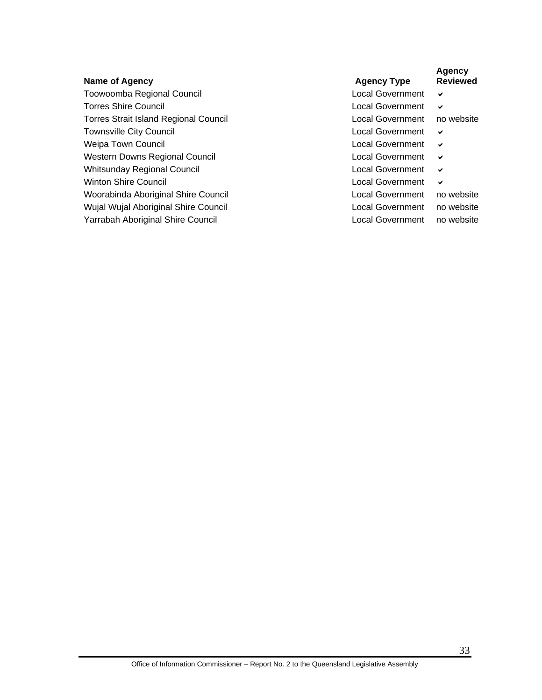Toowoomba Regional Council Local Government v Torres Shire Council **Local Government**  $\vee$ Torres Strait Island Regional Council **Local Government** no website Townsville City Council **Local Government**  $\vee$ Weipa Town Council **Local Government**  $\vee$ Western Downs Regional Council Local Government v Whitsunday Regional Council **Local Government**  $\vee$ Winton Shire Council **Local Government**  $\vee$ Woorabinda Aboriginal Shire Council **Local Government** no website Wujal Wujal Aboriginal Shire Council **Local Government** no website Yarrabah Aboriginal Shire Council **Local Government** no website

**Name of Agency Agency Type Agency Type Agency Type** 

**Agency Reviewed**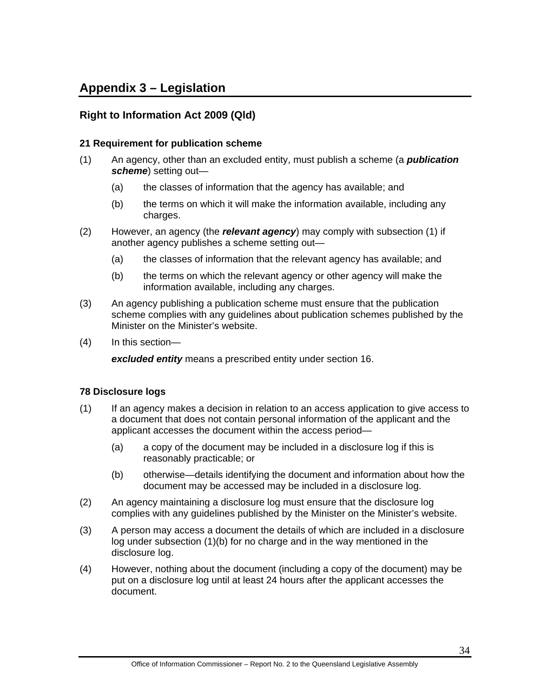# <span id="page-38-0"></span>**Appendix 3 – Legislation**

# **Right to Information Act 2009 (Qld)**

#### **21 Requirement for publication scheme**

- (1) An agency, other than an excluded entity, must publish a scheme (a *publication scheme*) setting out—
	- (a) the classes of information that the agency has available; and
	- (b) the terms on which it will make the information available, including any charges.
- (2) However, an agency (the *relevant agency*) may comply with subsection (1) if another agency publishes a scheme setting out—
	- (a) the classes of information that the relevant agency has available; and
	- (b) the terms on which the relevant agency or other agency will make the information available, including any charges.
- (3) An agency publishing a publication scheme must ensure that the publication scheme complies with any guidelines about publication schemes published by the Minister on the Minister's website.
- (4) In this section—

*excluded entity* means a prescribed entity under section 16.

#### **78 Disclosure logs**

- (1) If an agency makes a decision in relation to an access application to give access to a document that does not contain personal information of the applicant and the applicant accesses the document within the access period—
	- (a) a copy of the document may be included in a disclosure log if this is reasonably practicable; or
	- (b) otherwise—details identifying the document and information about how the document may be accessed may be included in a disclosure log.
- (2) An agency maintaining a disclosure log must ensure that the disclosure log complies with any guidelines published by the Minister on the Minister's website.
- (3) A person may access a document the details of which are included in a disclosure log under subsection (1)(b) for no charge and in the way mentioned in the disclosure log.
- (4) However, nothing about the document (including a copy of the document) may be put on a disclosure log until at least 24 hours after the applicant accesses the document.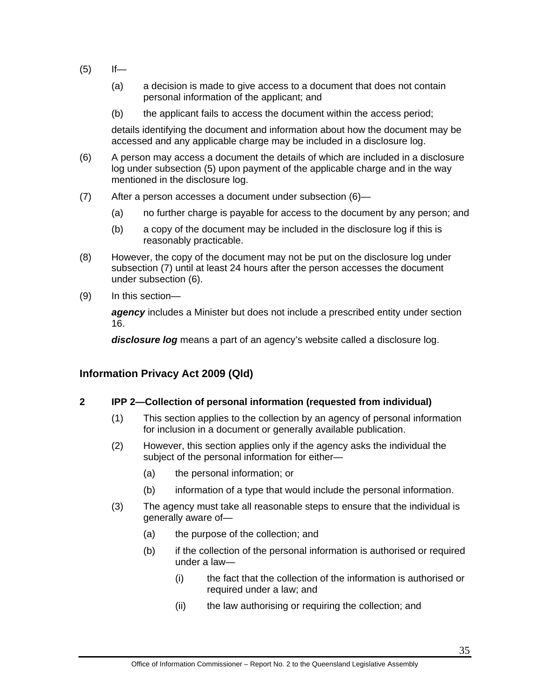- $(5)$  If—
	- (a) a decision is made to give access to a document that does not contain personal information of the applicant; and
	- (b) the applicant fails to access the document within the access period;

details identifying the document and information about how the document may be accessed and any applicable charge may be included in a disclosure log.

- (6) A person may access a document the details of which are included in a disclosure log under subsection (5) upon payment of the applicable charge and in the way mentioned in the disclosure log.
- (7) After a person accesses a document under subsection (6)—
	- (a) no further charge is payable for access to the document by any person; and
	- (b) a copy of the document may be included in the disclosure log if this is reasonably practicable.
- (8) However, the copy of the document may not be put on the disclosure log under subsection (7) until at least 24 hours after the person accesses the document under subsection (6).
- (9) In this section—

*agency* includes a Minister but does not include a prescribed entity under section 16.

*disclosure log* means a part of an agency's website called a disclosure log.

# **Information Privacy Act 2009 (Qld)**

#### **2 IPP 2—Collection of personal information (requested from individual)**

- (1) This section applies to the collection by an agency of personal information for inclusion in a document or generally available publication.
- (2) However, this section applies only if the agency asks the individual the subject of the personal information for either—
	- (a) the personal information; or
	- (b) information of a type that would include the personal information.
- (3) The agency must take all reasonable steps to ensure that the individual is generally aware of—
	- (a) the purpose of the collection; and
	- (b) if the collection of the personal information is authorised or required under a law—
		- (i) the fact that the collection of the information is authorised or required under a law; and
		- (ii) the law authorising or requiring the collection; and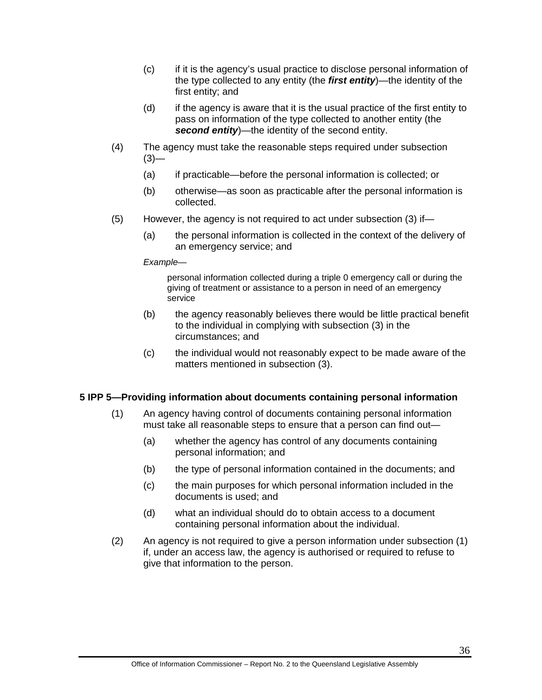- (c) if it is the agency's usual practice to disclose personal information of the type collected to any entity (the *first entity*)—the identity of the first entity; and
- (d) if the agency is aware that it is the usual practice of the first entity to pass on information of the type collected to another entity (the *second entity*)—the identity of the second entity.
- (4) The agency must take the reasonable steps required under subsection  $(3)$ —
	- (a) if practicable—before the personal information is collected; or
	- (b) otherwise—as soon as practicable after the personal information is collected.
- (5) However, the agency is not required to act under subsection (3) if—
	- (a) the personal information is collected in the context of the delivery of an emergency service; and

*Example*—

personal information collected during a triple 0 emergency call or during the giving of treatment or assistance to a person in need of an emergency service

- (b) the agency reasonably believes there would be little practical benefit to the individual in complying with subsection (3) in the circumstances; and
- (c) the individual would not reasonably expect to be made aware of the matters mentioned in subsection (3).

#### **5 IPP 5—Providing information about documents containing personal information**

- (1) An agency having control of documents containing personal information must take all reasonable steps to ensure that a person can find out—
	- (a) whether the agency has control of any documents containing personal information; and
	- (b) the type of personal information contained in the documents; and
	- (c) the main purposes for which personal information included in the documents is used; and
	- (d) what an individual should do to obtain access to a document containing personal information about the individual.
- (2) An agency is not required to give a person information under subsection (1) if, under an access law, the agency is authorised or required to refuse to give that information to the person.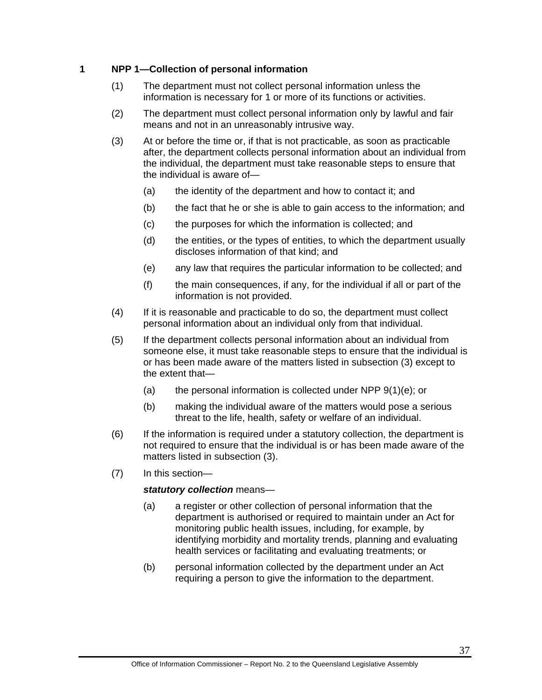#### **1 NPP 1—Collection of personal information**

- (1) The department must not collect personal information unless the information is necessary for 1 or more of its functions or activities.
- (2) The department must collect personal information only by lawful and fair means and not in an unreasonably intrusive way.
- (3) At or before the time or, if that is not practicable, as soon as practicable after, the department collects personal information about an individual from the individual, the department must take reasonable steps to ensure that the individual is aware of—
	- (a) the identity of the department and how to contact it; and
	- (b) the fact that he or she is able to gain access to the information; and
	- (c) the purposes for which the information is collected; and
	- (d) the entities, or the types of entities, to which the department usually discloses information of that kind; and
	- (e) any law that requires the particular information to be collected; and
	- (f) the main consequences, if any, for the individual if all or part of the information is not provided.
- (4) If it is reasonable and practicable to do so, the department must collect personal information about an individual only from that individual.
- (5) If the department collects personal information about an individual from someone else, it must take reasonable steps to ensure that the individual is or has been made aware of the matters listed in subsection (3) except to the extent that—
	- (a) the personal information is collected under NPP  $9(1)(e)$ ; or
	- (b) making the individual aware of the matters would pose a serious threat to the life, health, safety or welfare of an individual.
- (6) If the information is required under a statutory collection, the department is not required to ensure that the individual is or has been made aware of the matters listed in subsection (3).
- (7) In this section—

#### *statutory collection* means—

- (a) a register or other collection of personal information that the department is authorised or required to maintain under an Act for monitoring public health issues, including, for example, by identifying morbidity and mortality trends, planning and evaluating health services or facilitating and evaluating treatments; or
- (b) personal information collected by the department under an Act requiring a person to give the information to the department.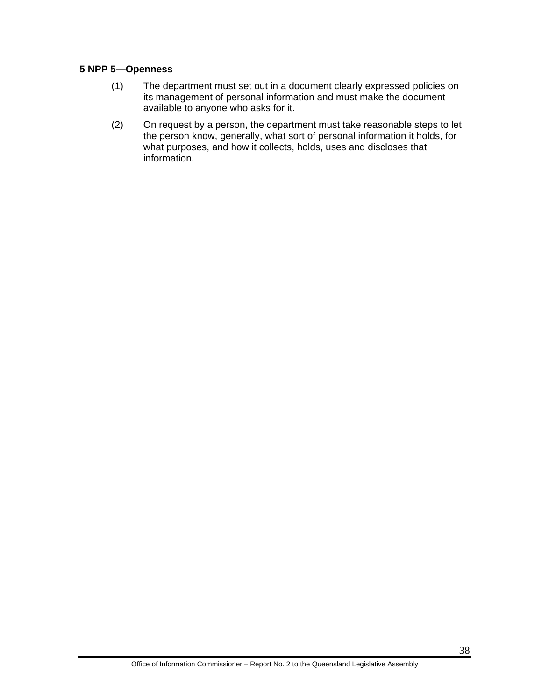#### **5 NPP 5—Openness**

- (1) The department must set out in a document clearly expressed policies on its management of personal information and must make the document available to anyone who asks for it.
- (2) On request by a person, the department must take reasonable steps to let the person know, generally, what sort of personal information it holds, for what purposes, and how it collects, holds, uses and discloses that information.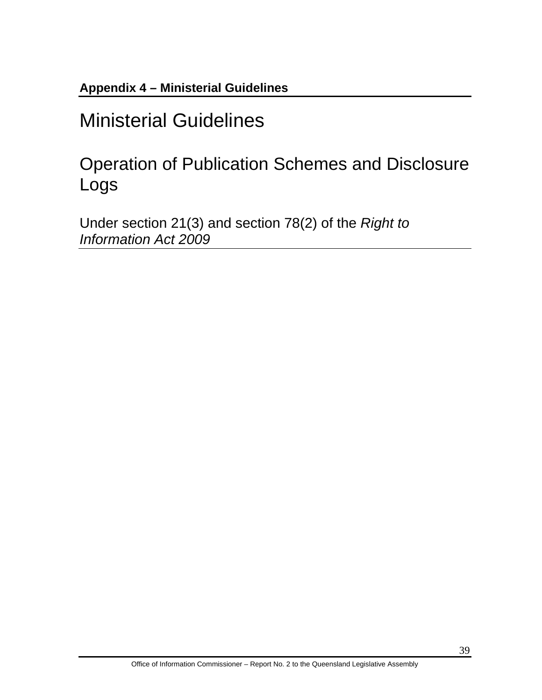<span id="page-43-0"></span>**Appendix 4 – Ministerial Guidelines** 

# Ministerial Guidelines

Operation of Publication Schemes and Disclosure Logs

Under section 21(3) and section 78(2) of the *Right to Information Act 2009*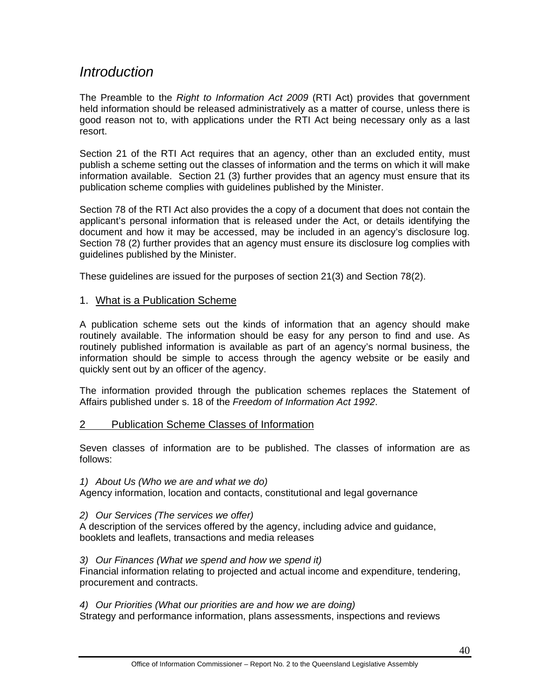# *Introduction*

The Preamble to the *Right to Information Act 2009* (RTI Act) provides that government held information should be released administratively as a matter of course, unless there is good reason not to, with applications under the RTI Act being necessary only as a last resort.

Section 21 of the RTI Act requires that an agency, other than an excluded entity, must publish a scheme setting out the classes of information and the terms on which it will make information available. Section 21 (3) further provides that an agency must ensure that its publication scheme complies with guidelines published by the Minister.

Section 78 of the RTI Act also provides the a copy of a document that does not contain the applicant's personal information that is released under the Act, or details identifying the document and how it may be accessed, may be included in an agency's disclosure log. Section 78 (2) further provides that an agency must ensure its disclosure log complies with guidelines published by the Minister.

These guidelines are issued for the purposes of section 21(3) and Section 78(2).

#### 1. What is a Publication Scheme

A publication scheme sets out the kinds of information that an agency should make routinely available. The information should be easy for any person to find and use. As routinely published information is available as part of an agency's normal business, the information should be simple to access through the agency website or be easily and quickly sent out by an officer of the agency.

The information provided through the publication schemes replaces the Statement of Affairs published under s. 18 of the *Freedom of Information Act 1992*.

#### 2 Publication Scheme Classes of Information

Seven classes of information are to be published. The classes of information are as follows:

*1) About Us (Who we are and what we do)* 

Agency information, location and contacts, constitutional and legal governance

*2) Our Services (The services we offer)* 

A description of the services offered by the agency, including advice and guidance, booklets and leaflets, transactions and media releases

*3) Our Finances (What we spend and how we spend it)* 

Financial information relating to projected and actual income and expenditure, tendering, procurement and contracts.

*4) Our Priorities (What our priorities are and how we are doing)* 

Strategy and performance information, plans assessments, inspections and reviews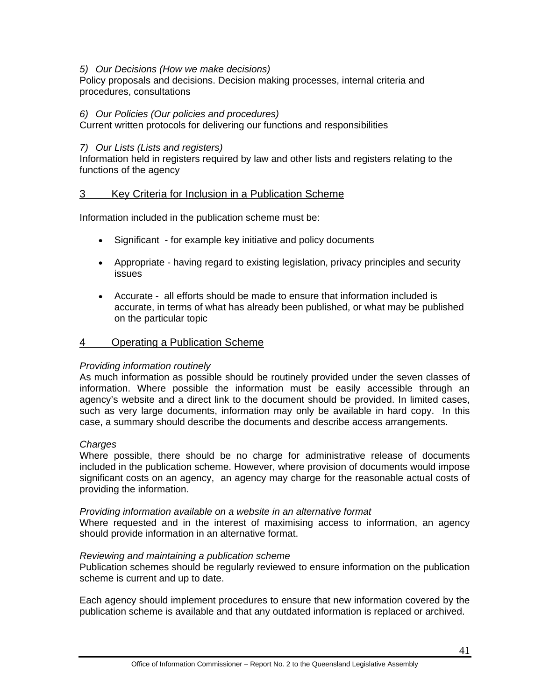#### *5) Our Decisions (How we make decisions)*

Policy proposals and decisions. Decision making processes, internal criteria and procedures, consultations

#### *6) Our Policies (Our policies and procedures)*

Current written protocols for delivering our functions and responsibilities

#### *7) Our Lists (Lists and registers)*

Information held in registers required by law and other lists and registers relating to the functions of the agency

#### 3 Key Criteria for Inclusion in a Publication Scheme

Information included in the publication scheme must be:

- Significant for example key initiative and policy documents
- Appropriate having regard to existing legislation, privacy principles and security issues
- Accurate all efforts should be made to ensure that information included is accurate, in terms of what has already been published, or what may be published on the particular topic

#### 4 Operating a Publication Scheme

#### *Providing information routinely*

As much information as possible should be routinely provided under the seven classes of information. Where possible the information must be easily accessible through an agency's website and a direct link to the document should be provided. In limited cases, such as very large documents, information may only be available in hard copy. In this case, a summary should describe the documents and describe access arrangements.

#### *Charges*

Where possible, there should be no charge for administrative release of documents included in the publication scheme. However, where provision of documents would impose significant costs on an agency, an agency may charge for the reasonable actual costs of providing the information.

#### *Providing information available on a website in an alternative format*

Where requested and in the interest of maximising access to information, an agency should provide information in an alternative format.

#### *Reviewing and maintaining a publication scheme*

Publication schemes should be regularly reviewed to ensure information on the publication scheme is current and up to date.

Each agency should implement procedures to ensure that new information covered by the publication scheme is available and that any outdated information is replaced or archived.